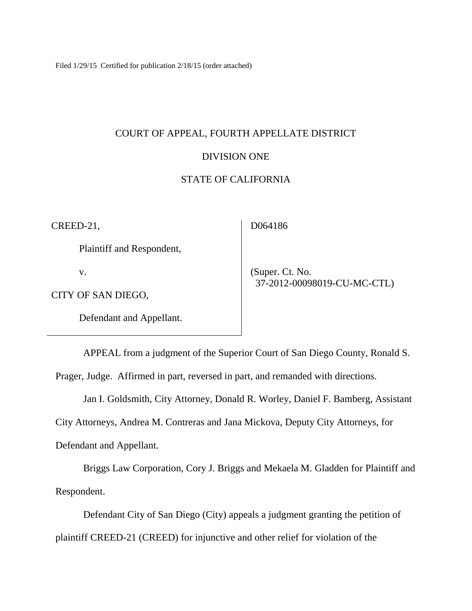Filed 1/29/15 Certified for publication 2/18/15 (order attached)

# COURT OF APPEAL, FOURTH APPELLATE DISTRICT

## DIVISION ONE

## STATE OF CALIFORNIA

CREED-21,

Plaintiff and Respondent,

v.

CITY OF SAN DIEGO,

Defendant and Appellant.

D064186

 (Super. Ct. No. 37-2012-00098019-CU-MC-CTL)

APPEAL from a judgment of the Superior Court of San Diego County, Ronald S.

Prager, Judge. Affirmed in part, reversed in part, and remanded with directions.

Jan I. Goldsmith, City Attorney, Donald R. Worley, Daniel F. Bamberg, Assistant

City Attorneys, Andrea M. Contreras and Jana Mickova, Deputy City Attorneys, for

Defendant and Appellant.

Briggs Law Corporation, Cory J. Briggs and Mekaela M. Gladden for Plaintiff and Respondent.

Defendant City of San Diego (City) appeals a judgment granting the petition of plaintiff CREED-21 (CREED) for injunctive and other relief for violation of the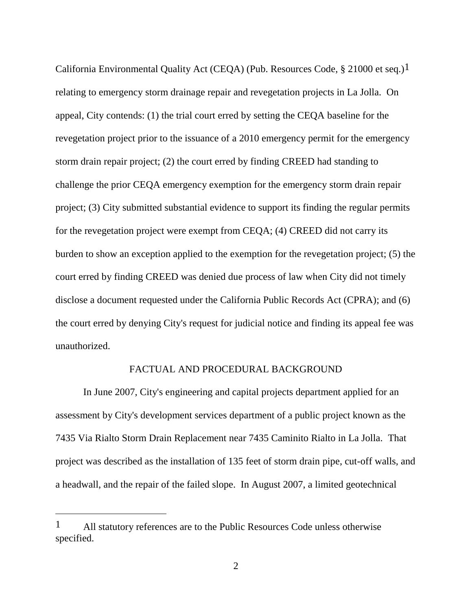California Environmental Quality Act (CEQA) (Pub. Resources Code, § 21000 et seq.)1 relating to emergency storm drainage repair and revegetation projects in La Jolla. On appeal, City contends: (1) the trial court erred by setting the CEQA baseline for the revegetation project prior to the issuance of a 2010 emergency permit for the emergency storm drain repair project; (2) the court erred by finding CREED had standing to challenge the prior CEQA emergency exemption for the emergency storm drain repair project; (3) City submitted substantial evidence to support its finding the regular permits for the revegetation project were exempt from CEQA; (4) CREED did not carry its burden to show an exception applied to the exemption for the revegetation project; (5) the court erred by finding CREED was denied due process of law when City did not timely disclose a document requested under the California Public Records Act (CPRA); and (6) the court erred by denying City's request for judicial notice and finding its appeal fee was unauthorized.

## FACTUAL AND PROCEDURAL BACKGROUND

In June 2007, City's engineering and capital projects department applied for an assessment by City's development services department of a public project known as the 7435 Via Rialto Storm Drain Replacement near 7435 Caminito Rialto in La Jolla. That project was described as the installation of 135 feet of storm drain pipe, cut-off walls, and a headwall, and the repair of the failed slope. In August 2007, a limited geotechnical

<sup>&</sup>lt;sup>1</sup> All statutory references are to the Public Resources Code unless otherwise specified.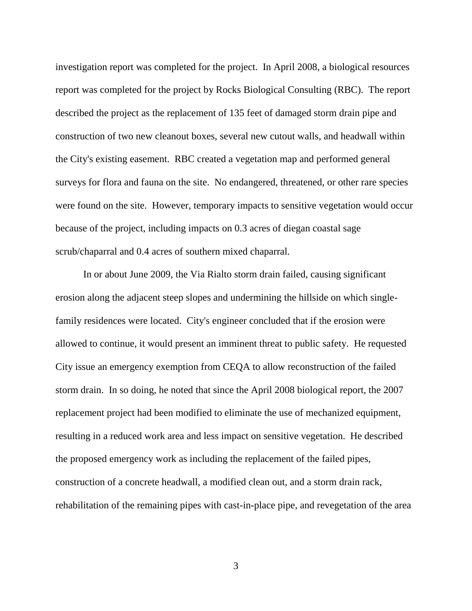investigation report was completed for the project. In April 2008, a biological resources report was completed for the project by Rocks Biological Consulting (RBC). The report described the project as the replacement of 135 feet of damaged storm drain pipe and construction of two new cleanout boxes, several new cutout walls, and headwall within the City's existing easement. RBC created a vegetation map and performed general surveys for flora and fauna on the site. No endangered, threatened, or other rare species were found on the site. However, temporary impacts to sensitive vegetation would occur because of the project, including impacts on 0.3 acres of diegan coastal sage scrub/chaparral and 0.4 acres of southern mixed chaparral.

In or about June 2009, the Via Rialto storm drain failed, causing significant erosion along the adjacent steep slopes and undermining the hillside on which singlefamily residences were located. City's engineer concluded that if the erosion were allowed to continue, it would present an imminent threat to public safety. He requested City issue an emergency exemption from CEQA to allow reconstruction of the failed storm drain. In so doing, he noted that since the April 2008 biological report, the 2007 replacement project had been modified to eliminate the use of mechanized equipment, resulting in a reduced work area and less impact on sensitive vegetation. He described the proposed emergency work as including the replacement of the failed pipes, construction of a concrete headwall, a modified clean out, and a storm drain rack, rehabilitation of the remaining pipes with cast-in-place pipe, and revegetation of the area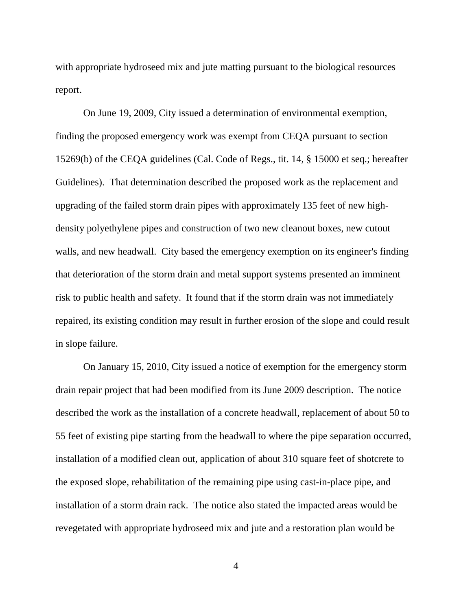with appropriate hydroseed mix and jute matting pursuant to the biological resources report.

On June 19, 2009, City issued a determination of environmental exemption, finding the proposed emergency work was exempt from CEQA pursuant to section 15269(b) of the CEQA guidelines (Cal. Code of Regs., tit. 14, § 15000 et seq.; hereafter Guidelines). That determination described the proposed work as the replacement and upgrading of the failed storm drain pipes with approximately 135 feet of new highdensity polyethylene pipes and construction of two new cleanout boxes, new cutout walls, and new headwall. City based the emergency exemption on its engineer's finding that deterioration of the storm drain and metal support systems presented an imminent risk to public health and safety. It found that if the storm drain was not immediately repaired, its existing condition may result in further erosion of the slope and could result in slope failure.

On January 15, 2010, City issued a notice of exemption for the emergency storm drain repair project that had been modified from its June 2009 description. The notice described the work as the installation of a concrete headwall, replacement of about 50 to 55 feet of existing pipe starting from the headwall to where the pipe separation occurred, installation of a modified clean out, application of about 310 square feet of shotcrete to the exposed slope, rehabilitation of the remaining pipe using cast-in-place pipe, and installation of a storm drain rack. The notice also stated the impacted areas would be revegetated with appropriate hydroseed mix and jute and a restoration plan would be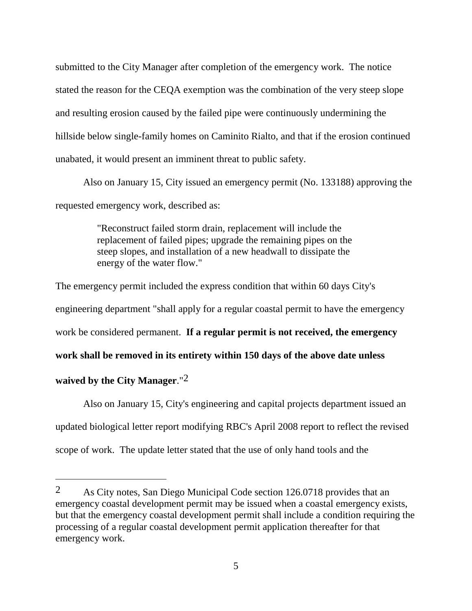submitted to the City Manager after completion of the emergency work. The notice stated the reason for the CEQA exemption was the combination of the very steep slope and resulting erosion caused by the failed pipe were continuously undermining the hillside below single-family homes on Caminito Rialto, and that if the erosion continued unabated, it would present an imminent threat to public safety.

Also on January 15, City issued an emergency permit (No. 133188) approving the requested emergency work, described as:

> "Reconstruct failed storm drain, replacement will include the replacement of failed pipes; upgrade the remaining pipes on the steep slopes, and installation of a new headwall to dissipate the energy of the water flow."

The emergency permit included the express condition that within 60 days City's engineering department "shall apply for a regular coastal permit to have the emergency work be considered permanent. **If a regular permit is not received, the emergency work shall be removed in its entirety within 150 days of the above date unless waived by the City Manager**."2

Also on January 15, City's engineering and capital projects department issued an updated biological letter report modifying RBC's April 2008 report to reflect the revised scope of work. The update letter stated that the use of only hand tools and the

<sup>2</sup> As City notes, San Diego Municipal Code section 126.0718 provides that an emergency coastal development permit may be issued when a coastal emergency exists, but that the emergency coastal development permit shall include a condition requiring the processing of a regular coastal development permit application thereafter for that emergency work.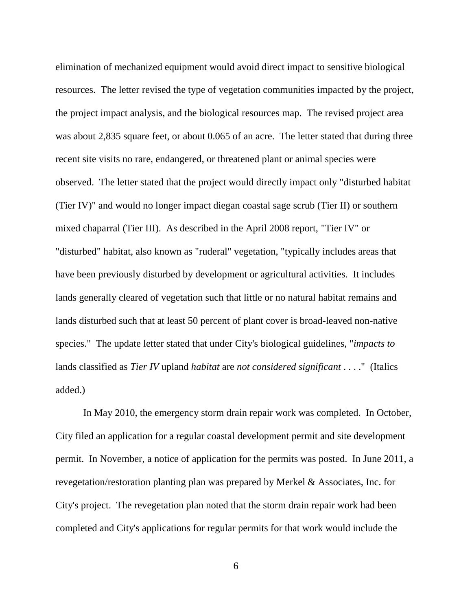elimination of mechanized equipment would avoid direct impact to sensitive biological resources. The letter revised the type of vegetation communities impacted by the project, the project impact analysis, and the biological resources map. The revised project area was about 2,835 square feet, or about 0.065 of an acre. The letter stated that during three recent site visits no rare, endangered, or threatened plant or animal species were observed. The letter stated that the project would directly impact only "disturbed habitat (Tier IV)" and would no longer impact diegan coastal sage scrub (Tier II) or southern mixed chaparral (Tier III). As described in the April 2008 report, "Tier IV" or "disturbed" habitat, also known as "ruderal" vegetation, "typically includes areas that have been previously disturbed by development or agricultural activities. It includes lands generally cleared of vegetation such that little or no natural habitat remains and lands disturbed such that at least 50 percent of plant cover is broad-leaved non-native species." The update letter stated that under City's biological guidelines, "*impacts to*  lands classified as *Tier IV* upland *habitat* are *not considered significant* . . . ." (Italics added.)

In May 2010, the emergency storm drain repair work was completed. In October, City filed an application for a regular coastal development permit and site development permit. In November, a notice of application for the permits was posted. In June 2011, a revegetation/restoration planting plan was prepared by Merkel & Associates, Inc. for City's project. The revegetation plan noted that the storm drain repair work had been completed and City's applications for regular permits for that work would include the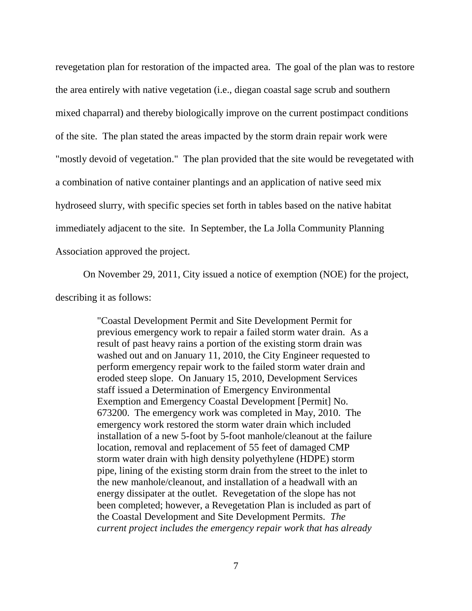revegetation plan for restoration of the impacted area. The goal of the plan was to restore the area entirely with native vegetation (i.e., diegan coastal sage scrub and southern mixed chaparral) and thereby biologically improve on the current postimpact conditions of the site. The plan stated the areas impacted by the storm drain repair work were "mostly devoid of vegetation." The plan provided that the site would be revegetated with a combination of native container plantings and an application of native seed mix hydroseed slurry, with specific species set forth in tables based on the native habitat immediately adjacent to the site. In September, the La Jolla Community Planning Association approved the project.

On November 29, 2011, City issued a notice of exemption (NOE) for the project,

describing it as follows:

"Coastal Development Permit and Site Development Permit for previous emergency work to repair a failed storm water drain. As a result of past heavy rains a portion of the existing storm drain was washed out and on January 11, 2010, the City Engineer requested to perform emergency repair work to the failed storm water drain and eroded steep slope. On January 15, 2010, Development Services staff issued a Determination of Emergency Environmental Exemption and Emergency Coastal Development [Permit] No. 673200. The emergency work was completed in May, 2010. The emergency work restored the storm water drain which included installation of a new 5-foot by 5-foot manhole/cleanout at the failure location, removal and replacement of 55 feet of damaged CMP storm water drain with high density polyethylene (HDPE) storm pipe, lining of the existing storm drain from the street to the inlet to the new manhole/cleanout, and installation of a headwall with an energy dissipater at the outlet. Revegetation of the slope has not been completed; however, a Revegetation Plan is included as part of the Coastal Development and Site Development Permits. *The current project includes the emergency repair work that has already*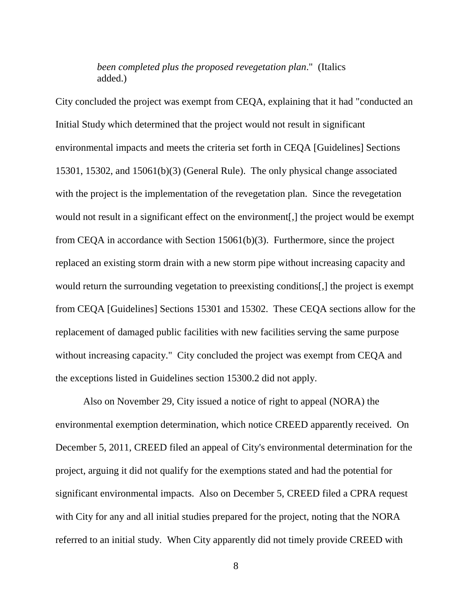# *been completed plus the proposed revegetation plan*." (Italics added.)

City concluded the project was exempt from CEQA, explaining that it had "conducted an Initial Study which determined that the project would not result in significant environmental impacts and meets the criteria set forth in CEQA [Guidelines] Sections 15301, 15302, and 15061(b)(3) (General Rule). The only physical change associated with the project is the implementation of the revegetation plan. Since the revegetation would not result in a significant effect on the environment[,] the project would be exempt from CEQA in accordance with Section 15061(b)(3). Furthermore, since the project replaced an existing storm drain with a new storm pipe without increasing capacity and would return the surrounding vegetation to preexisting conditions[,] the project is exempt from CEQA [Guidelines] Sections 15301 and 15302. These CEQA sections allow for the replacement of damaged public facilities with new facilities serving the same purpose without increasing capacity." City concluded the project was exempt from CEQA and the exceptions listed in Guidelines section 15300.2 did not apply.

Also on November 29, City issued a notice of right to appeal (NORA) the environmental exemption determination, which notice CREED apparently received. On December 5, 2011, CREED filed an appeal of City's environmental determination for the project, arguing it did not qualify for the exemptions stated and had the potential for significant environmental impacts. Also on December 5, CREED filed a CPRA request with City for any and all initial studies prepared for the project, noting that the NORA referred to an initial study. When City apparently did not timely provide CREED with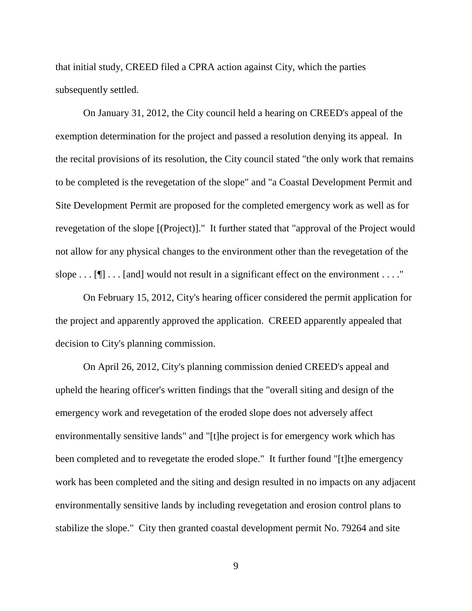that initial study, CREED filed a CPRA action against City, which the parties subsequently settled.

On January 31, 2012, the City council held a hearing on CREED's appeal of the exemption determination for the project and passed a resolution denying its appeal. In the recital provisions of its resolution, the City council stated "the only work that remains to be completed is the revegetation of the slope" and "a Coastal Development Permit and Site Development Permit are proposed for the completed emergency work as well as for revegetation of the slope [(Project)]." It further stated that "approval of the Project would not allow for any physical changes to the environment other than the revegetation of the slope  $\dots$  [ $\mathbb{I}$ ]  $\dots$  [and] would not result in a significant effect on the environment  $\dots$ ."

On February 15, 2012, City's hearing officer considered the permit application for the project and apparently approved the application. CREED apparently appealed that decision to City's planning commission.

On April 26, 2012, City's planning commission denied CREED's appeal and upheld the hearing officer's written findings that the "overall siting and design of the emergency work and revegetation of the eroded slope does not adversely affect environmentally sensitive lands" and "[t]he project is for emergency work which has been completed and to revegetate the eroded slope." It further found "[t]he emergency work has been completed and the siting and design resulted in no impacts on any adjacent environmentally sensitive lands by including revegetation and erosion control plans to stabilize the slope." City then granted coastal development permit No. 79264 and site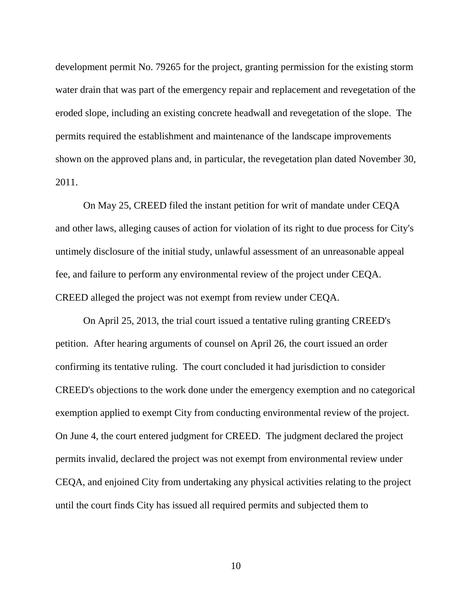development permit No. 79265 for the project, granting permission for the existing storm water drain that was part of the emergency repair and replacement and revegetation of the eroded slope, including an existing concrete headwall and revegetation of the slope. The permits required the establishment and maintenance of the landscape improvements shown on the approved plans and, in particular, the revegetation plan dated November 30, 2011.

On May 25, CREED filed the instant petition for writ of mandate under CEQA and other laws, alleging causes of action for violation of its right to due process for City's untimely disclosure of the initial study, unlawful assessment of an unreasonable appeal fee, and failure to perform any environmental review of the project under CEQA. CREED alleged the project was not exempt from review under CEQA.

On April 25, 2013, the trial court issued a tentative ruling granting CREED's petition. After hearing arguments of counsel on April 26, the court issued an order confirming its tentative ruling. The court concluded it had jurisdiction to consider CREED's objections to the work done under the emergency exemption and no categorical exemption applied to exempt City from conducting environmental review of the project. On June 4, the court entered judgment for CREED. The judgment declared the project permits invalid, declared the project was not exempt from environmental review under CEQA, and enjoined City from undertaking any physical activities relating to the project until the court finds City has issued all required permits and subjected them to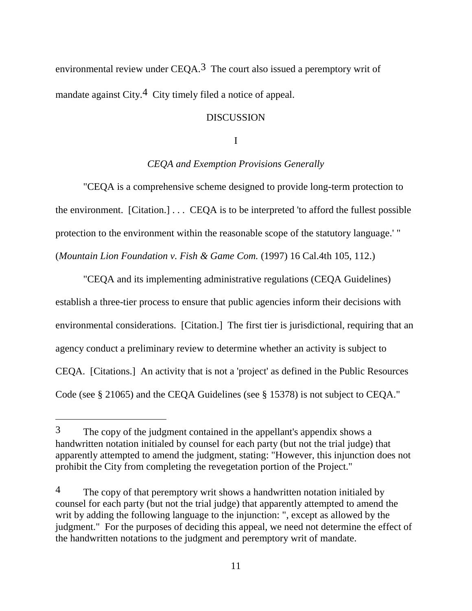environmental review under  $CEOA<sup>3</sup>$ . The court also issued a peremptory writ of mandate against City.<sup>4</sup> City timely filed a notice of appeal.

## DISCUSSION

I

# *CEQA and Exemption Provisions Generally*

"CEQA is a comprehensive scheme designed to provide long-term protection to the environment. [Citation.] . . . CEQA is to be interpreted 'to afford the fullest possible protection to the environment within the reasonable scope of the statutory language.' " (*Mountain Lion Foundation v. Fish & Game Com.* (1997) 16 Cal.4th 105, 112.)

"CEQA and its implementing administrative regulations (CEQA Guidelines) establish a three-tier process to ensure that public agencies inform their decisions with environmental considerations. [Citation.] The first tier is jurisdictional, requiring that an agency conduct a preliminary review to determine whether an activity is subject to CEQA. [Citations.] An activity that is not a 'project' as defined in the Public Resources Code (see § 21065) and the CEQA Guidelines (see § 15378) is not subject to CEQA."

 $\overline{a}$ 

<sup>3</sup> The copy of the judgment contained in the appellant's appendix shows a handwritten notation initialed by counsel for each party (but not the trial judge) that apparently attempted to amend the judgment, stating: "However, this injunction does not prohibit the City from completing the revegetation portion of the Project."

<sup>&</sup>lt;sup>4</sup> The copy of that peremptory writ shows a handwritten notation initialed by counsel for each party (but not the trial judge) that apparently attempted to amend the writ by adding the following language to the injunction: ", except as allowed by the judgment." For the purposes of deciding this appeal, we need not determine the effect of the handwritten notations to the judgment and peremptory writ of mandate.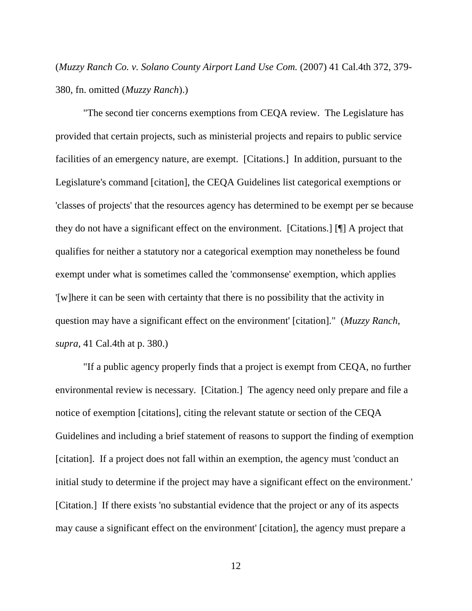(*Muzzy Ranch Co. v. Solano County Airport Land Use Com.* (2007) 41 Cal.4th 372, 379- 380, fn. omitted (*Muzzy Ranch*).)

"The second tier concerns exemptions from CEQA review. The Legislature has provided that certain projects, such as ministerial projects and repairs to public service facilities of an emergency nature, are exempt. [Citations.] In addition, pursuant to the Legislature's command [citation], the CEQA Guidelines list categorical exemptions or 'classes of projects' that the resources agency has determined to be exempt per se because they do not have a significant effect on the environment. [Citations.] [¶] A project that qualifies for neither a statutory nor a categorical exemption may nonetheless be found exempt under what is sometimes called the 'commonsense' exemption, which applies '[w]here it can be seen with certainty that there is no possibility that the activity in question may have a significant effect on the environment' [citation]." (*Muzzy Ranch*, *supra*, 41 Cal.4th at p. 380.)

"If a public agency properly finds that a project is exempt from CEQA, no further environmental review is necessary. [Citation.] The agency need only prepare and file a notice of exemption [citations], citing the relevant statute or section of the CEQA Guidelines and including a brief statement of reasons to support the finding of exemption [citation]. If a project does not fall within an exemption, the agency must 'conduct an initial study to determine if the project may have a significant effect on the environment.' [Citation.] If there exists 'no substantial evidence that the project or any of its aspects may cause a significant effect on the environment' [citation], the agency must prepare a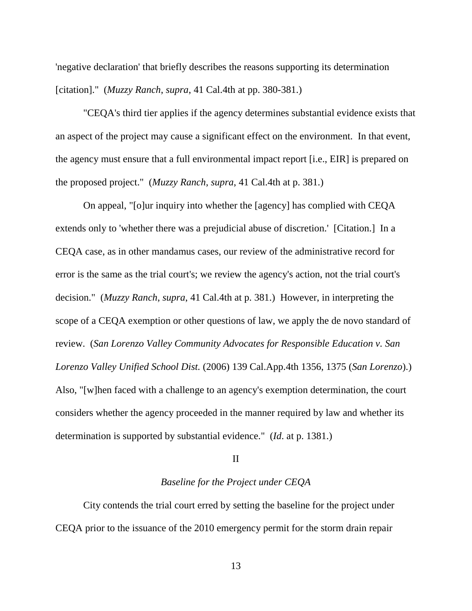'negative declaration' that briefly describes the reasons supporting its determination [citation]." (*Muzzy Ranch*, *supra*, 41 Cal.4th at pp. 380-381.)

"CEQA's third tier applies if the agency determines substantial evidence exists that an aspect of the project may cause a significant effect on the environment. In that event, the agency must ensure that a full environmental impact report [i.e., EIR] is prepared on the proposed project." (*Muzzy Ranch*, *supra*, 41 Cal.4th at p. 381.)

On appeal, "[o]ur inquiry into whether the [agency] has complied with CEQA extends only to 'whether there was a prejudicial abuse of discretion.' [Citation.] In a CEQA case, as in other mandamus cases, our review of the administrative record for error is the same as the trial court's; we review the agency's action, not the trial court's decision." (*Muzzy Ranch*, *supra*, 41 Cal.4th at p. 381.) However, in interpreting the scope of a CEQA exemption or other questions of law, we apply the de novo standard of review. (*San Lorenzo Valley Community Advocates for Responsible Education v. San Lorenzo Valley Unified School Dist.* (2006) 139 Cal.App.4th 1356, 1375 (*San Lorenzo*).) Also, "[w]hen faced with a challenge to an agency's exemption determination, the court considers whether the agency proceeded in the manner required by law and whether its determination is supported by substantial evidence." (*Id*. at p. 1381.)

### II

# *Baseline for the Project under CEQA*

City contends the trial court erred by setting the baseline for the project under CEQA prior to the issuance of the 2010 emergency permit for the storm drain repair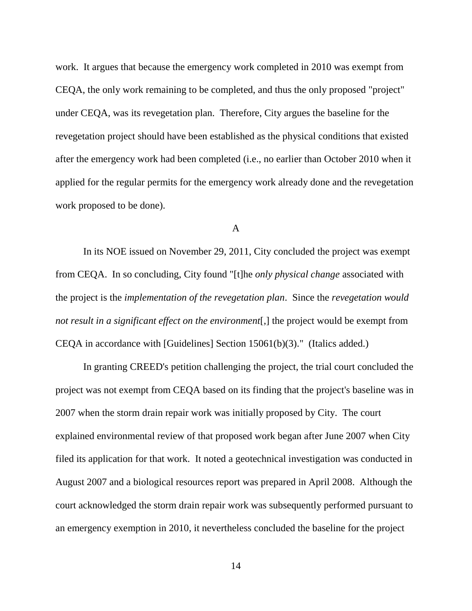work. It argues that because the emergency work completed in 2010 was exempt from CEQA, the only work remaining to be completed, and thus the only proposed "project" under CEQA, was its revegetation plan. Therefore, City argues the baseline for the revegetation project should have been established as the physical conditions that existed after the emergency work had been completed (i.e., no earlier than October 2010 when it applied for the regular permits for the emergency work already done and the revegetation work proposed to be done).

#### A

In its NOE issued on November 29, 2011, City concluded the project was exempt from CEQA. In so concluding, City found "[t]he *only physical change* associated with the project is the *implementation of the revegetation plan*. Since the *revegetation would not result in a significant effect on the environment*[,] the project would be exempt from CEQA in accordance with [Guidelines] Section 15061(b)(3)." (Italics added.)

In granting CREED's petition challenging the project, the trial court concluded the project was not exempt from CEQA based on its finding that the project's baseline was in 2007 when the storm drain repair work was initially proposed by City. The court explained environmental review of that proposed work began after June 2007 when City filed its application for that work. It noted a geotechnical investigation was conducted in August 2007 and a biological resources report was prepared in April 2008. Although the court acknowledged the storm drain repair work was subsequently performed pursuant to an emergency exemption in 2010, it nevertheless concluded the baseline for the project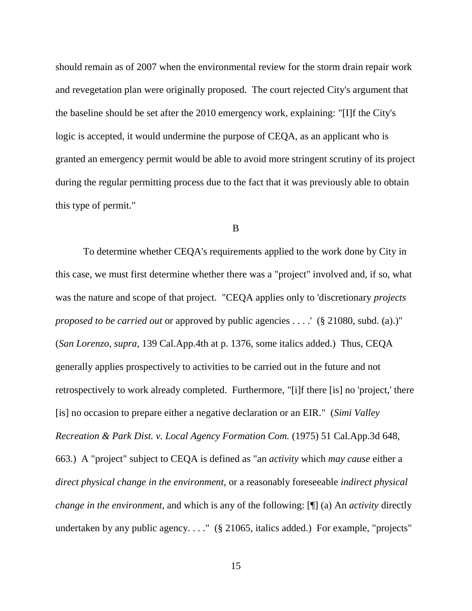should remain as of 2007 when the environmental review for the storm drain repair work and revegetation plan were originally proposed. The court rejected City's argument that the baseline should be set after the 2010 emergency work, explaining: "[I]f the City's logic is accepted, it would undermine the purpose of CEQA, as an applicant who is granted an emergency permit would be able to avoid more stringent scrutiny of its project during the regular permitting process due to the fact that it was previously able to obtain this type of permit."

#### B

To determine whether CEQA's requirements applied to the work done by City in this case, we must first determine whether there was a "project" involved and, if so, what was the nature and scope of that project. "CEQA applies only to 'discretionary *projects proposed to be carried out* or approved by public agencies . . . .' (§ 21080, subd. (a).)" (*San Lorenzo*, *supra*, 139 Cal.App.4th at p. 1376, some italics added.) Thus, CEQA generally applies prospectively to activities to be carried out in the future and not retrospectively to work already completed. Furthermore, "[i]f there [is] no 'project,' there [is] no occasion to prepare either a negative declaration or an EIR." (*Simi Valley Recreation & Park Dist. v. Local Agency Formation Com.* (1975) 51 Cal.App.3d 648, 663.) A "project" subject to CEQA is defined as "an *activity* which *may cause* either a *direct physical change in the environment*, or a reasonably foreseeable *indirect physical change in the environment*, and which is any of the following: [¶] (a) An *activity* directly undertaken by any public agency. . . . " (§ 21065, italics added.) For example, "projects"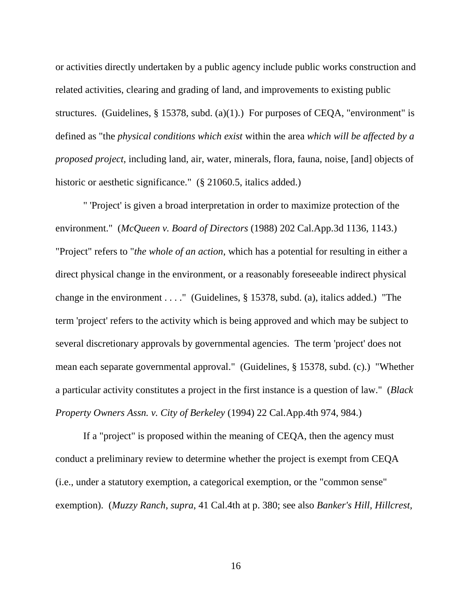or activities directly undertaken by a public agency include public works construction and related activities, clearing and grading of land, and improvements to existing public structures. (Guidelines,  $\S$  15378, subd. (a)(1).) For purposes of CEQA, "environment" is defined as "the *physical conditions which exist* within the area *which will be affected by a proposed project*, including land, air, water, minerals, flora, fauna, noise, [and] objects of historic or aesthetic significance." (§ 21060.5, italics added.)

" 'Project' is given a broad interpretation in order to maximize protection of the environment." (*McQueen v. Board of Directors* (1988) 202 Cal.App.3d 1136, 1143.) "Project" refers to "*the whole of an action*, which has a potential for resulting in either a direct physical change in the environment, or a reasonably foreseeable indirect physical change in the environment . . . ." (Guidelines, § 15378, subd. (a), italics added.) "The term 'project' refers to the activity which is being approved and which may be subject to several discretionary approvals by governmental agencies. The term 'project' does not mean each separate governmental approval." (Guidelines, § 15378, subd. (c).) "Whether a particular activity constitutes a project in the first instance is a question of law." (*Black Property Owners Assn. v. City of Berkeley* (1994) 22 Cal.App.4th 974, 984.)

If a "project" is proposed within the meaning of CEQA, then the agency must conduct a preliminary review to determine whether the project is exempt from CEQA (i.e., under a statutory exemption, a categorical exemption, or the "common sense" exemption). (*Muzzy Ranch*, *supra*, 41 Cal.4th at p. 380; see also *Banker's Hill, Hillcrest,*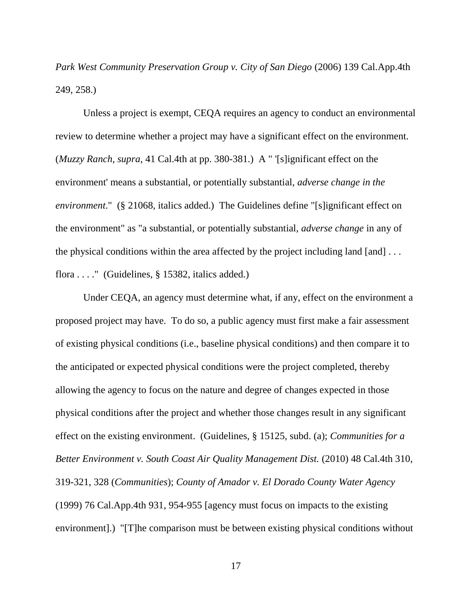*Park West Community Preservation Group v. City of San Diego* (2006) 139 Cal.App.4th 249, 258.)

Unless a project is exempt, CEQA requires an agency to conduct an environmental review to determine whether a project may have a significant effect on the environment. (*Muzzy Ranch*, *supra*, 41 Cal.4th at pp. 380-381.) A " '[s]ignificant effect on the environment' means a substantial, or potentially substantial, *adverse change in the environment*." (§ 21068, italics added.) The Guidelines define "[s]ignificant effect on the environment" as "a substantial, or potentially substantial, *adverse change* in any of the physical conditions within the area affected by the project including land  $[and] \ldots$ flora  $\dots$ ." (Guidelines, § 15382, italics added.)

Under CEQA, an agency must determine what, if any, effect on the environment a proposed project may have. To do so, a public agency must first make a fair assessment of existing physical conditions (i.e., baseline physical conditions) and then compare it to the anticipated or expected physical conditions were the project completed, thereby allowing the agency to focus on the nature and degree of changes expected in those physical conditions after the project and whether those changes result in any significant effect on the existing environment. (Guidelines, § 15125, subd. (a); *Communities for a Better Environment v. South Coast Air Quality Management Dist.* (2010) 48 Cal.4th 310, 319-321, 328 (*Communities*); *County of Amador v. El Dorado County Water Agency* (1999) 76 Cal.App.4th 931, 954-955 [agency must focus on impacts to the existing environment].) "[T]he comparison must be between existing physical conditions without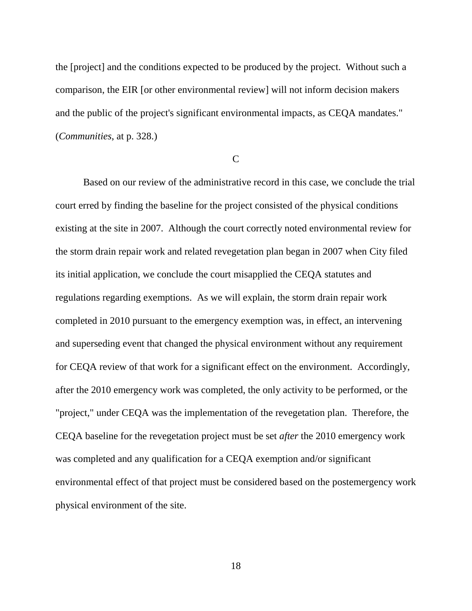the [project] and the conditions expected to be produced by the project. Without such a comparison, the EIR [or other environmental review] will not inform decision makers and the public of the project's significant environmental impacts, as CEQA mandates." (*Communities*, at p. 328.)

 $\mathcal{C}$ 

Based on our review of the administrative record in this case, we conclude the trial court erred by finding the baseline for the project consisted of the physical conditions existing at the site in 2007. Although the court correctly noted environmental review for the storm drain repair work and related revegetation plan began in 2007 when City filed its initial application, we conclude the court misapplied the CEQA statutes and regulations regarding exemptions. As we will explain, the storm drain repair work completed in 2010 pursuant to the emergency exemption was, in effect, an intervening and superseding event that changed the physical environment without any requirement for CEQA review of that work for a significant effect on the environment. Accordingly, after the 2010 emergency work was completed, the only activity to be performed, or the "project," under CEQA was the implementation of the revegetation plan. Therefore, the CEQA baseline for the revegetation project must be set *after* the 2010 emergency work was completed and any qualification for a CEQA exemption and/or significant environmental effect of that project must be considered based on the postemergency work physical environment of the site.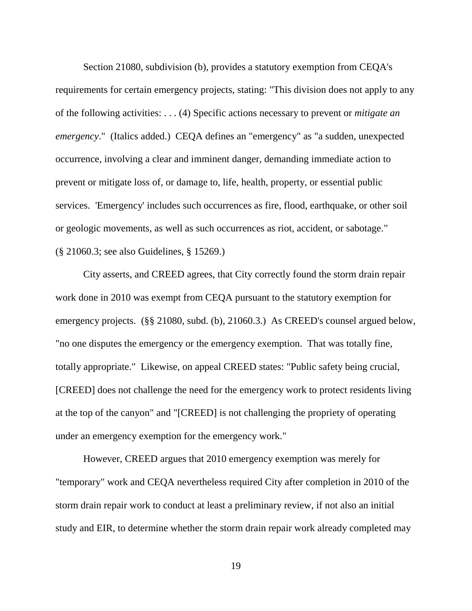Section 21080, subdivision (b), provides a statutory exemption from CEQA's requirements for certain emergency projects, stating: "This division does not apply to any of the following activities: . . . (4) Specific actions necessary to prevent or *mitigate an emergency*." (Italics added.) CEQA defines an "emergency" as "a sudden, unexpected occurrence, involving a clear and imminent danger, demanding immediate action to prevent or mitigate loss of, or damage to, life, health, property, or essential public services. 'Emergency' includes such occurrences as fire, flood, earthquake, or other soil or geologic movements, as well as such occurrences as riot, accident, or sabotage." (§ 21060.3; see also Guidelines, § 15269.)

City asserts, and CREED agrees, that City correctly found the storm drain repair work done in 2010 was exempt from CEQA pursuant to the statutory exemption for emergency projects. (§§ 21080, subd. (b), 21060.3.) As CREED's counsel argued below, "no one disputes the emergency or the emergency exemption. That was totally fine, totally appropriate." Likewise, on appeal CREED states: "Public safety being crucial, [CREED] does not challenge the need for the emergency work to protect residents living at the top of the canyon" and "[CREED] is not challenging the propriety of operating under an emergency exemption for the emergency work."

However, CREED argues that 2010 emergency exemption was merely for "temporary" work and CEQA nevertheless required City after completion in 2010 of the storm drain repair work to conduct at least a preliminary review, if not also an initial study and EIR, to determine whether the storm drain repair work already completed may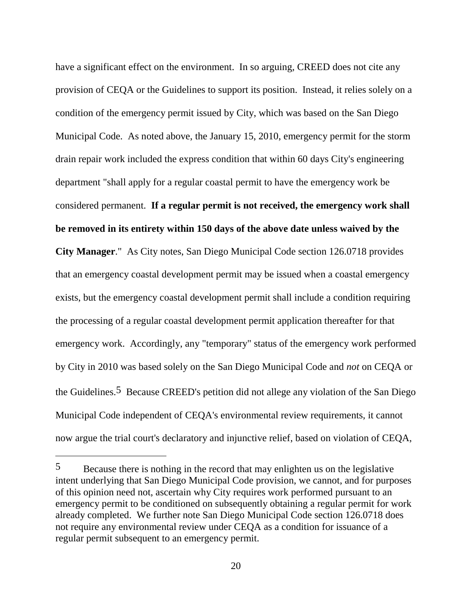have a significant effect on the environment. In so arguing, CREED does not cite any provision of CEQA or the Guidelines to support its position. Instead, it relies solely on a condition of the emergency permit issued by City, which was based on the San Diego Municipal Code. As noted above, the January 15, 2010, emergency permit for the storm drain repair work included the express condition that within 60 days City's engineering department "shall apply for a regular coastal permit to have the emergency work be considered permanent. **If a regular permit is not received, the emergency work shall be removed in its entirety within 150 days of the above date unless waived by the City Manager**." As City notes, San Diego Municipal Code section 126.0718 provides that an emergency coastal development permit may be issued when a coastal emergency exists, but the emergency coastal development permit shall include a condition requiring the processing of a regular coastal development permit application thereafter for that emergency work. Accordingly, any "temporary" status of the emergency work performed by City in 2010 was based solely on the San Diego Municipal Code and *not* on CEQA or the Guidelines.5 Because CREED's petition did not allege any violation of the San Diego Municipal Code independent of CEQA's environmental review requirements, it cannot now argue the trial court's declaratory and injunctive relief, based on violation of CEQA,

 $\overline{a}$ 

<sup>5</sup> Because there is nothing in the record that may enlighten us on the legislative intent underlying that San Diego Municipal Code provision, we cannot, and for purposes of this opinion need not, ascertain why City requires work performed pursuant to an emergency permit to be conditioned on subsequently obtaining a regular permit for work already completed. We further note San Diego Municipal Code section 126.0718 does not require any environmental review under CEQA as a condition for issuance of a regular permit subsequent to an emergency permit.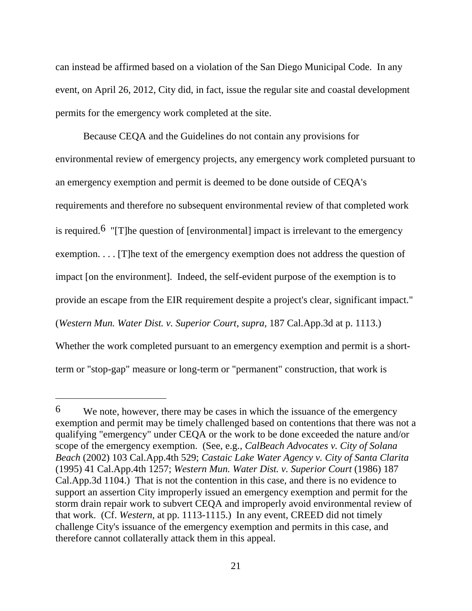can instead be affirmed based on a violation of the San Diego Municipal Code. In any event, on April 26, 2012, City did, in fact, issue the regular site and coastal development permits for the emergency work completed at the site.

Because CEQA and the Guidelines do not contain any provisions for environmental review of emergency projects, any emergency work completed pursuant to an emergency exemption and permit is deemed to be done outside of CEQA's requirements and therefore no subsequent environmental review of that completed work is required.<sup>6</sup> "[T]he question of [environmental] impact is irrelevant to the emergency exemption. . . . [T]he text of the emergency exemption does not address the question of impact [on the environment]. Indeed, the self-evident purpose of the exemption is to provide an escape from the EIR requirement despite a project's clear, significant impact." (*Western Mun. Water Dist. v. Superior Court, supra*, 187 Cal.App.3d at p. 1113.) Whether the work completed pursuant to an emergency exemption and permit is a shortterm or "stop-gap" measure or long-term or "permanent" construction, that work is

<sup>6</sup> We note, however, there may be cases in which the issuance of the emergency exemption and permit may be timely challenged based on contentions that there was not a qualifying "emergency" under CEQA or the work to be done exceeded the nature and/or scope of the emergency exemption. (See, e.g., *CalBeach Advocates v. City of Solana Beach* (2002) 103 Cal.App.4th 529; *Castaic Lake Water Agency v. City of Santa Clarita* (1995) 41 Cal.App.4th 1257; *Western Mun. Water Dist. v. Superior Court* (1986) 187 Cal.App.3d 1104.) That is not the contention in this case, and there is no evidence to support an assertion City improperly issued an emergency exemption and permit for the storm drain repair work to subvert CEQA and improperly avoid environmental review of that work. (Cf. *Western*, at pp. 1113-1115.) In any event, CREED did not timely challenge City's issuance of the emergency exemption and permits in this case, and therefore cannot collaterally attack them in this appeal.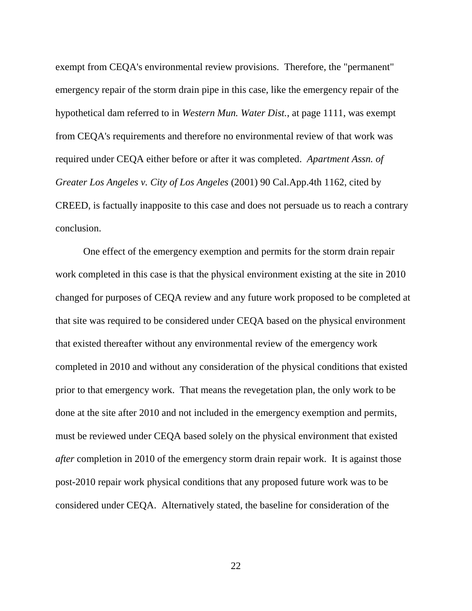exempt from CEQA's environmental review provisions. Therefore, the "permanent" emergency repair of the storm drain pipe in this case, like the emergency repair of the hypothetical dam referred to in *Western Mun. Water Dist.*, at page 1111, was exempt from CEQA's requirements and therefore no environmental review of that work was required under CEQA either before or after it was completed. *Apartment Assn. of Greater Los Angeles v. City of Los Angeles* (2001) 90 Cal.App.4th 1162, cited by CREED, is factually inapposite to this case and does not persuade us to reach a contrary conclusion.

One effect of the emergency exemption and permits for the storm drain repair work completed in this case is that the physical environment existing at the site in 2010 changed for purposes of CEQA review and any future work proposed to be completed at that site was required to be considered under CEQA based on the physical environment that existed thereafter without any environmental review of the emergency work completed in 2010 and without any consideration of the physical conditions that existed prior to that emergency work. That means the revegetation plan, the only work to be done at the site after 2010 and not included in the emergency exemption and permits, must be reviewed under CEQA based solely on the physical environment that existed *after* completion in 2010 of the emergency storm drain repair work. It is against those post-2010 repair work physical conditions that any proposed future work was to be considered under CEQA. Alternatively stated, the baseline for consideration of the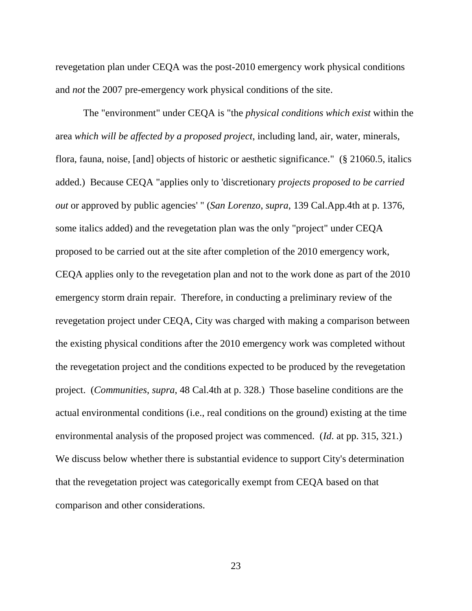revegetation plan under CEQA was the post-2010 emergency work physical conditions and *not* the 2007 pre-emergency work physical conditions of the site.

The "environment" under CEQA is "the *physical conditions which exist* within the area *which will be affected by a proposed project*, including land, air, water, minerals, flora, fauna, noise, [and] objects of historic or aesthetic significance." (§ 21060.5, italics added.) Because CEQA "applies only to 'discretionary *projects proposed to be carried out* or approved by public agencies' " (*San Lorenzo*, *supra*, 139 Cal.App.4th at p. 1376, some italics added) and the revegetation plan was the only "project" under CEQA proposed to be carried out at the site after completion of the 2010 emergency work, CEQA applies only to the revegetation plan and not to the work done as part of the 2010 emergency storm drain repair. Therefore, in conducting a preliminary review of the revegetation project under CEQA, City was charged with making a comparison between the existing physical conditions after the 2010 emergency work was completed without the revegetation project and the conditions expected to be produced by the revegetation project. (*Communities*, *supra*, 48 Cal.4th at p. 328.) Those baseline conditions are the actual environmental conditions (i.e., real conditions on the ground) existing at the time environmental analysis of the proposed project was commenced. (*Id*. at pp. 315, 321.) We discuss below whether there is substantial evidence to support City's determination that the revegetation project was categorically exempt from CEQA based on that comparison and other considerations.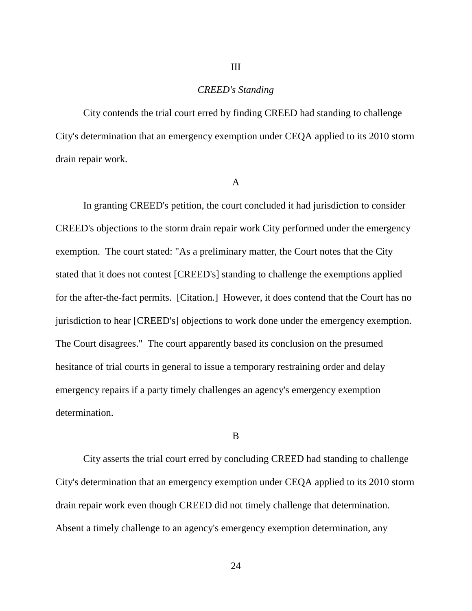## *CREED's Standing*

III

City contends the trial court erred by finding CREED had standing to challenge City's determination that an emergency exemption under CEQA applied to its 2010 storm drain repair work.

A

In granting CREED's petition, the court concluded it had jurisdiction to consider CREED's objections to the storm drain repair work City performed under the emergency exemption. The court stated: "As a preliminary matter, the Court notes that the City stated that it does not contest [CREED's] standing to challenge the exemptions applied for the after-the-fact permits. [Citation.] However, it does contend that the Court has no jurisdiction to hear [CREED's] objections to work done under the emergency exemption. The Court disagrees." The court apparently based its conclusion on the presumed hesitance of trial courts in general to issue a temporary restraining order and delay emergency repairs if a party timely challenges an agency's emergency exemption determination.

B

City asserts the trial court erred by concluding CREED had standing to challenge City's determination that an emergency exemption under CEQA applied to its 2010 storm drain repair work even though CREED did not timely challenge that determination. Absent a timely challenge to an agency's emergency exemption determination, any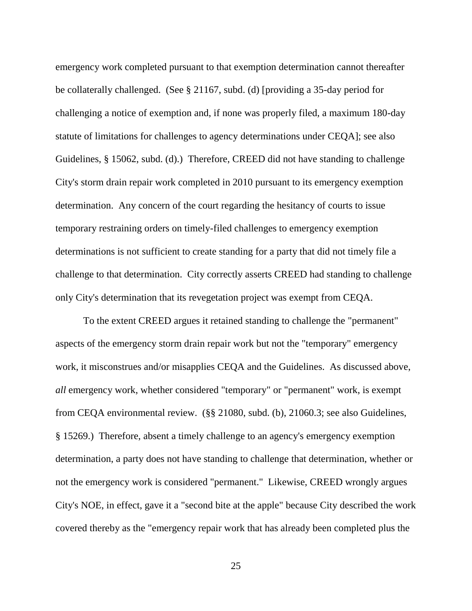emergency work completed pursuant to that exemption determination cannot thereafter be collaterally challenged. (See § 21167, subd. (d) [providing a 35-day period for challenging a notice of exemption and, if none was properly filed, a maximum 180-day statute of limitations for challenges to agency determinations under CEQA]; see also Guidelines, § 15062, subd. (d).) Therefore, CREED did not have standing to challenge City's storm drain repair work completed in 2010 pursuant to its emergency exemption determination. Any concern of the court regarding the hesitancy of courts to issue temporary restraining orders on timely-filed challenges to emergency exemption determinations is not sufficient to create standing for a party that did not timely file a challenge to that determination. City correctly asserts CREED had standing to challenge only City's determination that its revegetation project was exempt from CEQA.

To the extent CREED argues it retained standing to challenge the "permanent" aspects of the emergency storm drain repair work but not the "temporary" emergency work, it misconstrues and/or misapplies CEQA and the Guidelines. As discussed above, *all* emergency work, whether considered "temporary" or "permanent" work, is exempt from CEQA environmental review. (§§ 21080, subd. (b), 21060.3; see also Guidelines, § 15269.) Therefore, absent a timely challenge to an agency's emergency exemption determination, a party does not have standing to challenge that determination, whether or not the emergency work is considered "permanent." Likewise, CREED wrongly argues City's NOE, in effect, gave it a "second bite at the apple" because City described the work covered thereby as the "emergency repair work that has already been completed plus the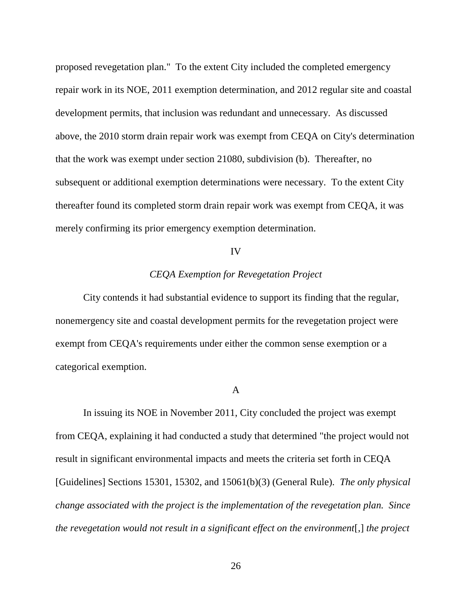proposed revegetation plan." To the extent City included the completed emergency repair work in its NOE, 2011 exemption determination, and 2012 regular site and coastal development permits, that inclusion was redundant and unnecessary. As discussed above, the 2010 storm drain repair work was exempt from CEQA on City's determination that the work was exempt under section 21080, subdivision (b). Thereafter, no subsequent or additional exemption determinations were necessary. To the extent City thereafter found its completed storm drain repair work was exempt from CEQA, it was merely confirming its prior emergency exemption determination.

#### IV

## *CEQA Exemption for Revegetation Project*

City contends it had substantial evidence to support its finding that the regular, nonemergency site and coastal development permits for the revegetation project were exempt from CEQA's requirements under either the common sense exemption or a categorical exemption.

#### A

In issuing its NOE in November 2011, City concluded the project was exempt from CEQA, explaining it had conducted a study that determined "the project would not result in significant environmental impacts and meets the criteria set forth in CEQA [Guidelines] Sections 15301, 15302, and 15061(b)(3) (General Rule). *The only physical change associated with the project is the implementation of the revegetation plan. Since the revegetation would not result in a significant effect on the environment*[*,*] *the project*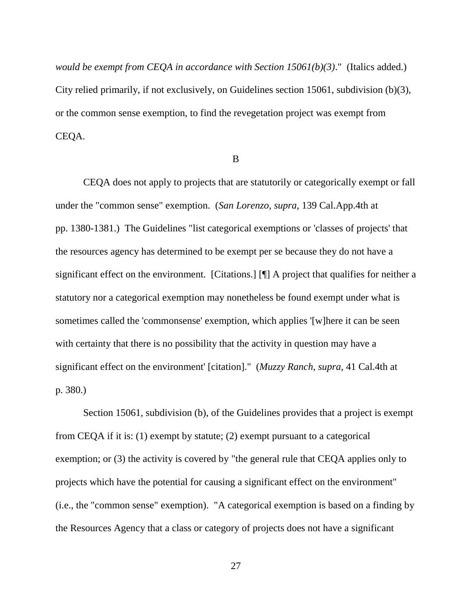*would be exempt from CEQA in accordance with Section 15061(b)(3)*." (Italics added.) City relied primarily, if not exclusively, on Guidelines section 15061, subdivision (b)(3), or the common sense exemption, to find the revegetation project was exempt from CEQA.

B

CEQA does not apply to projects that are statutorily or categorically exempt or fall under the "common sense" exemption. (*San Lorenzo*, *supra*, 139 Cal.App.4th at pp. 1380-1381.) The Guidelines "list categorical exemptions or 'classes of projects' that the resources agency has determined to be exempt per se because they do not have a significant effect on the environment. [Citations.] [¶] A project that qualifies for neither a statutory nor a categorical exemption may nonetheless be found exempt under what is sometimes called the 'commonsense' exemption, which applies '[w]here it can be seen with certainty that there is no possibility that the activity in question may have a significant effect on the environment' [citation]." (*Muzzy Ranch*, *supra*, 41 Cal.4th at p. 380.)

Section 15061, subdivision (b), of the Guidelines provides that a project is exempt from CEQA if it is: (1) exempt by statute; (2) exempt pursuant to a categorical exemption; or (3) the activity is covered by "the general rule that CEQA applies only to projects which have the potential for causing a significant effect on the environment" (i.e., the "common sense" exemption). "A categorical exemption is based on a finding by the Resources Agency that a class or category of projects does not have a significant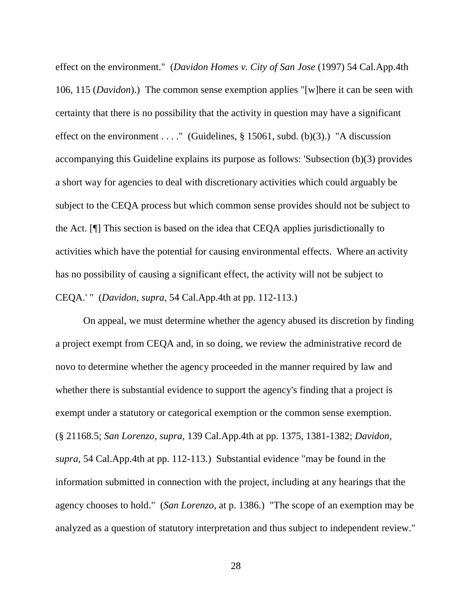effect on the environment." (*Davidon Homes v. City of San Jose* (1997) 54 Cal.App.4th 106, 115 (*Davidon*).) The common sense exemption applies "[w]here it can be seen with certainty that there is no possibility that the activity in question may have a significant effect on the environment . . . . " (Guidelines,  $\S$  15061, subd. (b)(3).) "A discussion accompanying this Guideline explains its purpose as follows: 'Subsection (b)(3) provides a short way for agencies to deal with discretionary activities which could arguably be subject to the CEQA process but which common sense provides should not be subject to the Act. [¶] This section is based on the idea that CEQA applies jurisdictionally to activities which have the potential for causing environmental effects. Where an activity has no possibility of causing a significant effect, the activity will not be subject to CEQA.' " (*Davidon*, *supra*, 54 Cal.App.4th at pp. 112-113.)

On appeal, we must determine whether the agency abused its discretion by finding a project exempt from CEQA and, in so doing, we review the administrative record de novo to determine whether the agency proceeded in the manner required by law and whether there is substantial evidence to support the agency's finding that a project is exempt under a statutory or categorical exemption or the common sense exemption. (§ 21168.5; *San Lorenzo*, *supra*, 139 Cal.App.4th at pp. 1375, 1381-1382; *Davidon, supra*, 54 Cal.App.4th at pp. 112-113.) Substantial evidence "may be found in the information submitted in connection with the project, including at any hearings that the agency chooses to hold." (*San Lorenzo*, at p. 1386.) "The scope of an exemption may be analyzed as a question of statutory interpretation and thus subject to independent review."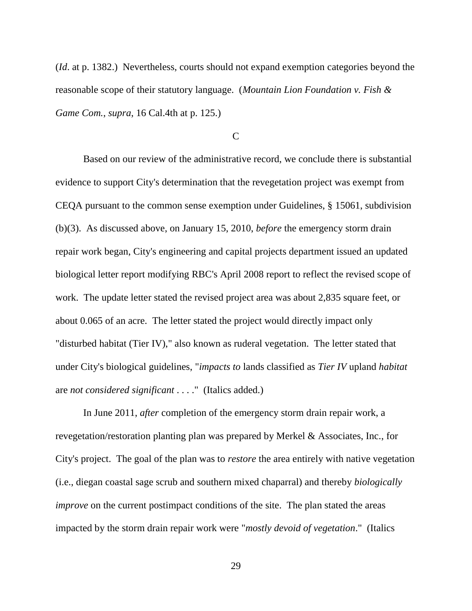(*Id*. at p. 1382.) Nevertheless, courts should not expand exemption categories beyond the reasonable scope of their statutory language. (*Mountain Lion Foundation v. Fish & Game Com.*, *supra*, 16 Cal.4th at p. 125.)

## C

Based on our review of the administrative record, we conclude there is substantial evidence to support City's determination that the revegetation project was exempt from CEQA pursuant to the common sense exemption under Guidelines, § 15061, subdivision (b)(3). As discussed above, on January 15, 2010, *before* the emergency storm drain repair work began, City's engineering and capital projects department issued an updated biological letter report modifying RBC's April 2008 report to reflect the revised scope of work. The update letter stated the revised project area was about 2,835 square feet, or about 0.065 of an acre. The letter stated the project would directly impact only "disturbed habitat (Tier IV)," also known as ruderal vegetation. The letter stated that under City's biological guidelines, "*impacts to* lands classified as *Tier IV* upland *habitat*  are *not considered significant* . . . ." (Italics added.)

In June 2011, *after* completion of the emergency storm drain repair work, a revegetation/restoration planting plan was prepared by Merkel & Associates, Inc., for City's project. The goal of the plan was to *restore* the area entirely with native vegetation (i.e., diegan coastal sage scrub and southern mixed chaparral) and thereby *biologically improve* on the current postimpact conditions of the site. The plan stated the areas impacted by the storm drain repair work were "*mostly devoid of vegetation*." (Italics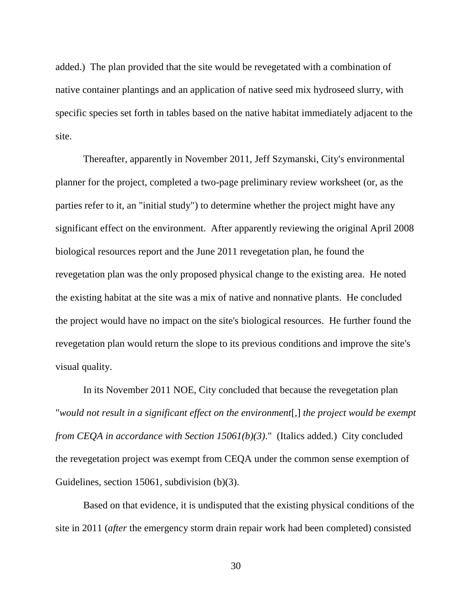added.) The plan provided that the site would be revegetated with a combination of native container plantings and an application of native seed mix hydroseed slurry, with specific species set forth in tables based on the native habitat immediately adjacent to the site.

Thereafter, apparently in November 2011, Jeff Szymanski, City's environmental planner for the project, completed a two-page preliminary review worksheet (or, as the parties refer to it, an "initial study") to determine whether the project might have any significant effect on the environment. After apparently reviewing the original April 2008 biological resources report and the June 2011 revegetation plan, he found the revegetation plan was the only proposed physical change to the existing area. He noted the existing habitat at the site was a mix of native and nonnative plants. He concluded the project would have no impact on the site's biological resources. He further found the revegetation plan would return the slope to its previous conditions and improve the site's visual quality.

In its November 2011 NOE, City concluded that because the revegetation plan "*would not result in a significant effect on the environment*[*,*] *the project would be exempt from CEQA in accordance with Section 15061(b)(3)*." (Italics added.) City concluded the revegetation project was exempt from CEQA under the common sense exemption of Guidelines, section 15061, subdivision (b)(3).

Based on that evidence, it is undisputed that the existing physical conditions of the site in 2011 (*after* the emergency storm drain repair work had been completed) consisted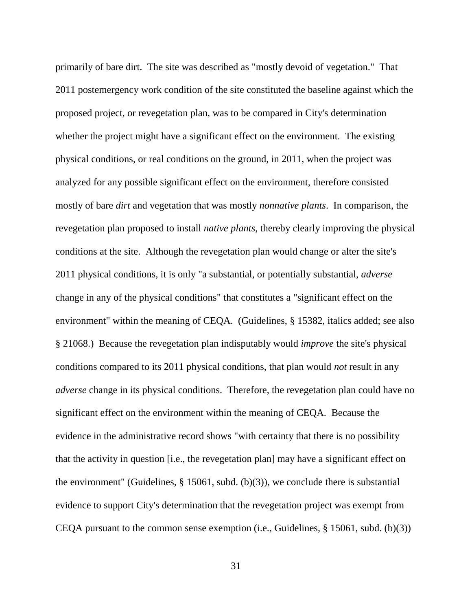primarily of bare dirt. The site was described as "mostly devoid of vegetation." That 2011 postemergency work condition of the site constituted the baseline against which the proposed project, or revegetation plan, was to be compared in City's determination whether the project might have a significant effect on the environment. The existing physical conditions, or real conditions on the ground, in 2011, when the project was analyzed for any possible significant effect on the environment, therefore consisted mostly of bare *dirt* and vegetation that was mostly *nonnative plants*. In comparison, the revegetation plan proposed to install *native plants,* thereby clearly improving the physical conditions at the site. Although the revegetation plan would change or alter the site's 2011 physical conditions, it is only "a substantial, or potentially substantial, *adverse* change in any of the physical conditions" that constitutes a "significant effect on the environment" within the meaning of CEQA. (Guidelines, § 15382, italics added; see also § 21068.) Because the revegetation plan indisputably would *improve* the site's physical conditions compared to its 2011 physical conditions, that plan would *not* result in any *adverse* change in its physical conditions. Therefore, the revegetation plan could have no significant effect on the environment within the meaning of CEQA. Because the evidence in the administrative record shows "with certainty that there is no possibility that the activity in question [i.e., the revegetation plan] may have a significant effect on the environment" (Guidelines,  $\S$  15061, subd. (b)(3)), we conclude there is substantial evidence to support City's determination that the revegetation project was exempt from CEQA pursuant to the common sense exemption (i.e., Guidelines, § 15061, subd. (b)(3))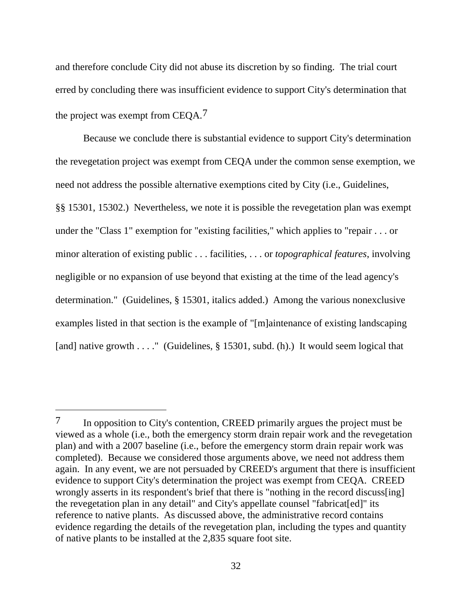and therefore conclude City did not abuse its discretion by so finding. The trial court erred by concluding there was insufficient evidence to support City's determination that the project was exempt from CEQA.7

Because we conclude there is substantial evidence to support City's determination the revegetation project was exempt from CEQA under the common sense exemption, we need not address the possible alternative exemptions cited by City (i.e., Guidelines, §§ 15301, 15302.) Nevertheless, we note it is possible the revegetation plan was exempt under the "Class 1" exemption for "existing facilities," which applies to "repair . . . or minor alteration of existing public . . . facilities, . . . or *topographical features*, involving negligible or no expansion of use beyond that existing at the time of the lead agency's determination." (Guidelines, § 15301, italics added.) Among the various nonexclusive examples listed in that section is the example of "[m]aintenance of existing landscaping [and] native growth . . . . " (Guidelines, § 15301, subd. (h).) It would seem logical that

<sup>&</sup>lt;sup>7</sup> In opposition to City's contention, CREED primarily argues the project must be viewed as a whole (i.e., both the emergency storm drain repair work and the revegetation plan) and with a 2007 baseline (i.e., before the emergency storm drain repair work was completed). Because we considered those arguments above, we need not address them again. In any event, we are not persuaded by CREED's argument that there is insufficient evidence to support City's determination the project was exempt from CEQA. CREED wrongly asserts in its respondent's brief that there is "nothing in the record discuss[ing] the revegetation plan in any detail" and City's appellate counsel "fabricat[ed]" its reference to native plants. As discussed above, the administrative record contains evidence regarding the details of the revegetation plan, including the types and quantity of native plants to be installed at the 2,835 square foot site.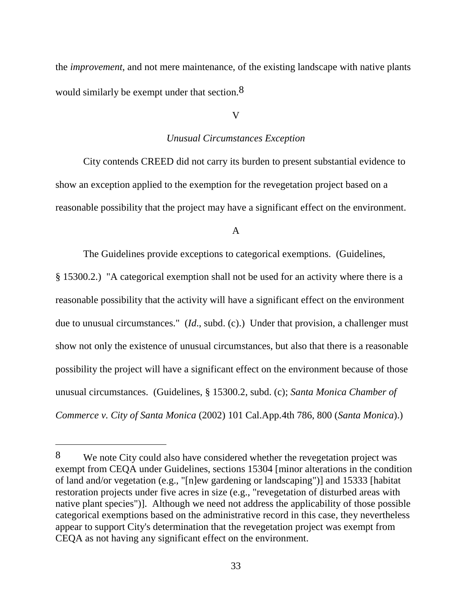the *improvement*, and not mere maintenance, of the existing landscape with native plants would similarly be exempt under that section.<sup>8</sup>

## V

#### *Unusual Circumstances Exception*

City contends CREED did not carry its burden to present substantial evidence to show an exception applied to the exemption for the revegetation project based on a reasonable possibility that the project may have a significant effect on the environment.

## A

The Guidelines provide exceptions to categorical exemptions. (Guidelines,

§ 15300.2.) "A categorical exemption shall not be used for an activity where there is a reasonable possibility that the activity will have a significant effect on the environment due to unusual circumstances." (*Id*., subd. (c).) Under that provision, a challenger must show not only the existence of unusual circumstances, but also that there is a reasonable possibility the project will have a significant effect on the environment because of those unusual circumstances. (Guidelines, § 15300.2, subd. (c); *Santa Monica Chamber of Commerce v. City of Santa Monica* (2002) 101 Cal.App.4th 786, 800 (*Santa Monica*).)

 $\overline{a}$ 

<sup>8</sup> We note City could also have considered whether the revegetation project was exempt from CEQA under Guidelines, sections 15304 [minor alterations in the condition of land and/or vegetation (e.g., "[n]ew gardening or landscaping")] and 15333 [habitat restoration projects under five acres in size (e.g., "revegetation of disturbed areas with native plant species")]. Although we need not address the applicability of those possible categorical exemptions based on the administrative record in this case, they nevertheless appear to support City's determination that the revegetation project was exempt from CEQA as not having any significant effect on the environment.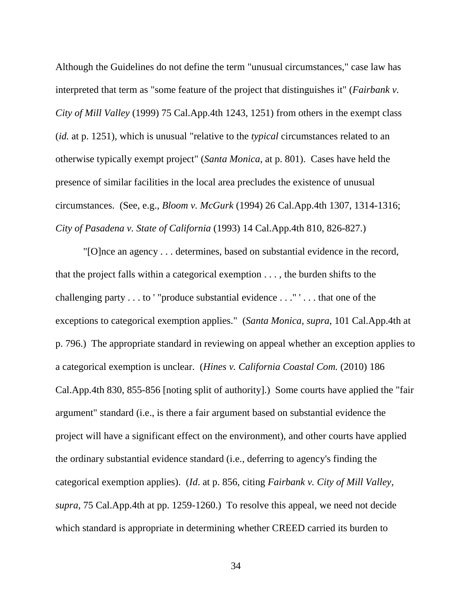Although the Guidelines do not define the term "unusual circumstances," case law has interpreted that term as "some feature of the project that distinguishes it" (*Fairbank v. City of Mill Valley* (1999) 75 Cal.App.4th 1243, 1251) from others in the exempt class (*id.* at p. 1251), which is unusual "relative to the *typical* circumstances related to an otherwise typically exempt project" (*Santa Monica*, at p. 801). Cases have held the presence of similar facilities in the local area precludes the existence of unusual circumstances. (See, e.g., *Bloom v. McGurk* (1994) 26 Cal.App.4th 1307, 1314-1316; *City of Pasadena v. State of California* (1993) 14 Cal.App.4th 810, 826-827.)

"[O]nce an agency . . . determines, based on substantial evidence in the record, that the project falls within a categorical exemption . . . , the burden shifts to the challenging party . . . to ' "produce substantial evidence . . ." ' . . . that one of the exceptions to categorical exemption applies." (*Santa Monica*, *supra*, 101 Cal.App.4th at p. 796.) The appropriate standard in reviewing on appeal whether an exception applies to a categorical exemption is unclear. (*Hines v. California Coastal Com.* (2010) 186 Cal.App.4th 830, 855-856 [noting split of authority].) Some courts have applied the "fair argument" standard (i.e., is there a fair argument based on substantial evidence the project will have a significant effect on the environment), and other courts have applied the ordinary substantial evidence standard (i.e., deferring to agency's finding the categorical exemption applies). (*Id*. at p. 856, citing *Fairbank v. City of Mill Valley*, *supra*, 75 Cal.App.4th at pp. 1259-1260.) To resolve this appeal, we need not decide which standard is appropriate in determining whether CREED carried its burden to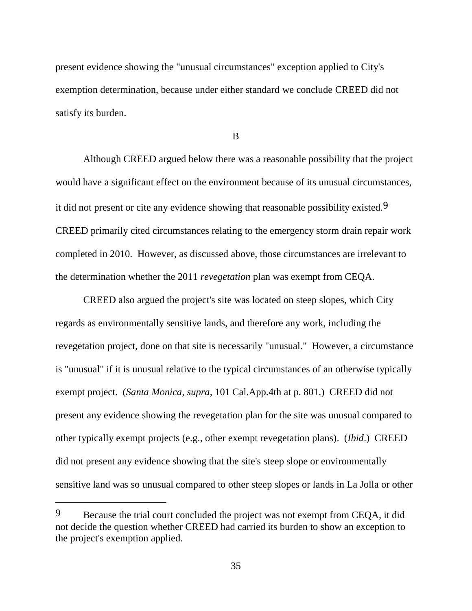present evidence showing the "unusual circumstances" exception applied to City's exemption determination, because under either standard we conclude CREED did not satisfy its burden.

B

Although CREED argued below there was a reasonable possibility that the project would have a significant effect on the environment because of its unusual circumstances, it did not present or cite any evidence showing that reasonable possibility existed.<sup>9</sup> CREED primarily cited circumstances relating to the emergency storm drain repair work completed in 2010. However, as discussed above, those circumstances are irrelevant to the determination whether the 2011 *revegetation* plan was exempt from CEQA.

CREED also argued the project's site was located on steep slopes, which City regards as environmentally sensitive lands, and therefore any work, including the revegetation project, done on that site is necessarily "unusual." However, a circumstance is "unusual" if it is unusual relative to the typical circumstances of an otherwise typically exempt project. (*Santa Monica*, *supra*, 101 Cal.App.4th at p. 801.) CREED did not present any evidence showing the revegetation plan for the site was unusual compared to other typically exempt projects (e.g., other exempt revegetation plans). (*Ibid*.) CREED did not present any evidence showing that the site's steep slope or environmentally sensitive land was so unusual compared to other steep slopes or lands in La Jolla or other

<sup>9</sup> Because the trial court concluded the project was not exempt from CEQA, it did not decide the question whether CREED had carried its burden to show an exception to the project's exemption applied.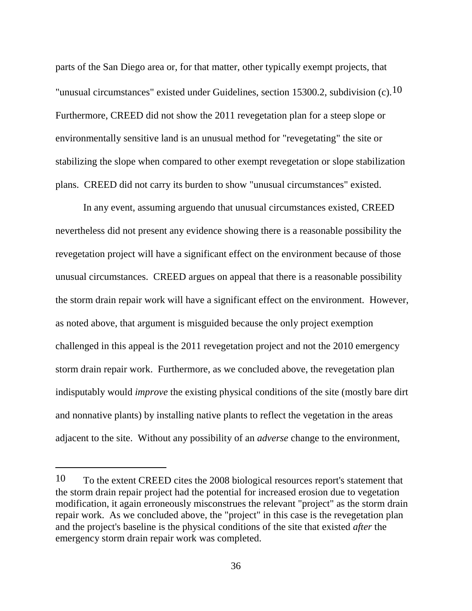parts of the San Diego area or, for that matter, other typically exempt projects, that "unusual circumstances" existed under Guidelines, section 15300.2, subdivision  $(c)$ .<sup>10</sup> Furthermore, CREED did not show the 2011 revegetation plan for a steep slope or environmentally sensitive land is an unusual method for "revegetating" the site or stabilizing the slope when compared to other exempt revegetation or slope stabilization plans. CREED did not carry its burden to show "unusual circumstances" existed.

In any event, assuming arguendo that unusual circumstances existed, CREED nevertheless did not present any evidence showing there is a reasonable possibility the revegetation project will have a significant effect on the environment because of those unusual circumstances. CREED argues on appeal that there is a reasonable possibility the storm drain repair work will have a significant effect on the environment. However, as noted above, that argument is misguided because the only project exemption challenged in this appeal is the 2011 revegetation project and not the 2010 emergency storm drain repair work. Furthermore, as we concluded above, the revegetation plan indisputably would *improve* the existing physical conditions of the site (mostly bare dirt and nonnative plants) by installing native plants to reflect the vegetation in the areas adjacent to the site. Without any possibility of an *adverse* change to the environment,

<sup>10</sup> To the extent CREED cites the 2008 biological resources report's statement that the storm drain repair project had the potential for increased erosion due to vegetation modification, it again erroneously misconstrues the relevant "project" as the storm drain repair work. As we concluded above, the "project" in this case is the revegetation plan and the project's baseline is the physical conditions of the site that existed *after* the emergency storm drain repair work was completed.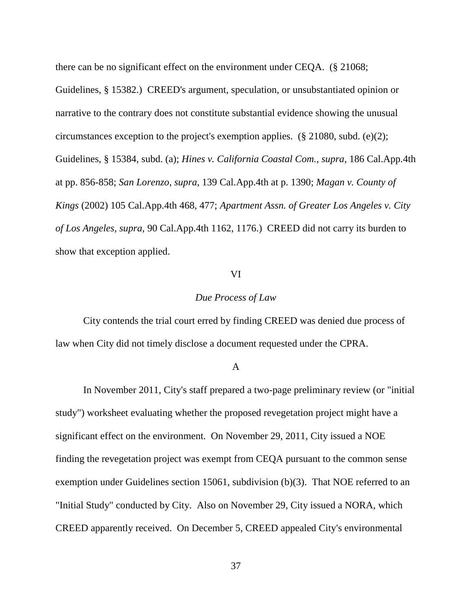there can be no significant effect on the environment under CEQA. (§ 21068;

Guidelines, § 15382.) CREED's argument, speculation, or unsubstantiated opinion or narrative to the contrary does not constitute substantial evidence showing the unusual circumstances exception to the project's exemption applies. (§ 21080, subd. (e)(2); Guidelines, § 15384, subd. (a); *Hines v. California Coastal Com.*, *supra*, 186 Cal.App.4th at pp. 856-858; *San Lorenzo*, *supra*, 139 Cal.App.4th at p. 1390; *Magan v. County of Kings* (2002) 105 Cal.App.4th 468, 477; *Apartment Assn. of Greater Los Angeles v. City of Los Angeles, supra,* 90 Cal.App.4th 1162, 1176.) CREED did not carry its burden to show that exception applied.

### VI

## *Due Process of Law*

City contends the trial court erred by finding CREED was denied due process of law when City did not timely disclose a document requested under the CPRA.

#### A

In November 2011, City's staff prepared a two-page preliminary review (or "initial study") worksheet evaluating whether the proposed revegetation project might have a significant effect on the environment. On November 29, 2011, City issued a NOE finding the revegetation project was exempt from CEQA pursuant to the common sense exemption under Guidelines section 15061, subdivision (b)(3). That NOE referred to an "Initial Study" conducted by City. Also on November 29, City issued a NORA, which CREED apparently received. On December 5, CREED appealed City's environmental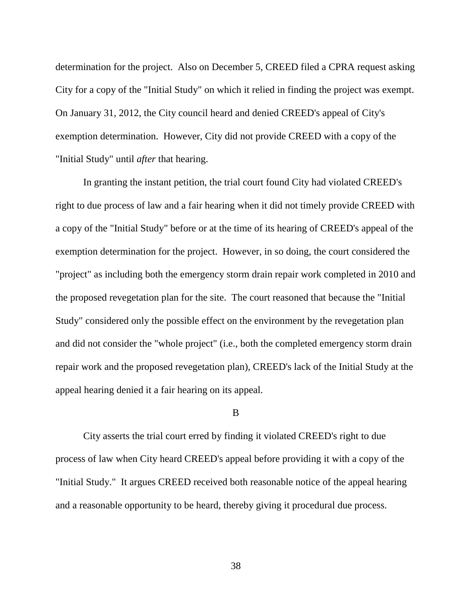determination for the project. Also on December 5, CREED filed a CPRA request asking City for a copy of the "Initial Study" on which it relied in finding the project was exempt. On January 31, 2012, the City council heard and denied CREED's appeal of City's exemption determination. However, City did not provide CREED with a copy of the "Initial Study" until *after* that hearing.

In granting the instant petition, the trial court found City had violated CREED's right to due process of law and a fair hearing when it did not timely provide CREED with a copy of the "Initial Study" before or at the time of its hearing of CREED's appeal of the exemption determination for the project. However, in so doing, the court considered the "project" as including both the emergency storm drain repair work completed in 2010 and the proposed revegetation plan for the site. The court reasoned that because the "Initial Study" considered only the possible effect on the environment by the revegetation plan and did not consider the "whole project" (i.e., both the completed emergency storm drain repair work and the proposed revegetation plan), CREED's lack of the Initial Study at the appeal hearing denied it a fair hearing on its appeal.

## B

City asserts the trial court erred by finding it violated CREED's right to due process of law when City heard CREED's appeal before providing it with a copy of the "Initial Study." It argues CREED received both reasonable notice of the appeal hearing and a reasonable opportunity to be heard, thereby giving it procedural due process.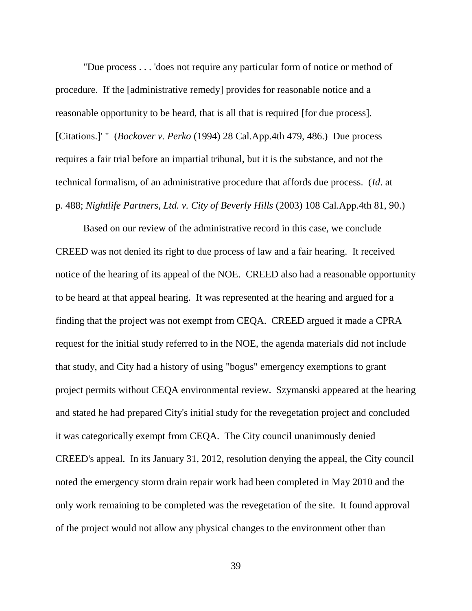"Due process . . . 'does not require any particular form of notice or method of procedure. If the [administrative remedy] provides for reasonable notice and a reasonable opportunity to be heard, that is all that is required [for due process]. [Citations.]' " (*Bockover v. Perko* (1994) 28 Cal.App.4th 479, 486.) Due process requires a fair trial before an impartial tribunal, but it is the substance, and not the technical formalism, of an administrative procedure that affords due process. (*Id*. at p. 488; *Nightlife Partners, Ltd. v. City of Beverly Hills* (2003) 108 Cal.App.4th 81, 90.)

Based on our review of the administrative record in this case, we conclude CREED was not denied its right to due process of law and a fair hearing. It received notice of the hearing of its appeal of the NOE. CREED also had a reasonable opportunity to be heard at that appeal hearing. It was represented at the hearing and argued for a finding that the project was not exempt from CEQA. CREED argued it made a CPRA request for the initial study referred to in the NOE, the agenda materials did not include that study, and City had a history of using "bogus" emergency exemptions to grant project permits without CEQA environmental review. Szymanski appeared at the hearing and stated he had prepared City's initial study for the revegetation project and concluded it was categorically exempt from CEQA. The City council unanimously denied CREED's appeal. In its January 31, 2012, resolution denying the appeal, the City council noted the emergency storm drain repair work had been completed in May 2010 and the only work remaining to be completed was the revegetation of the site. It found approval of the project would not allow any physical changes to the environment other than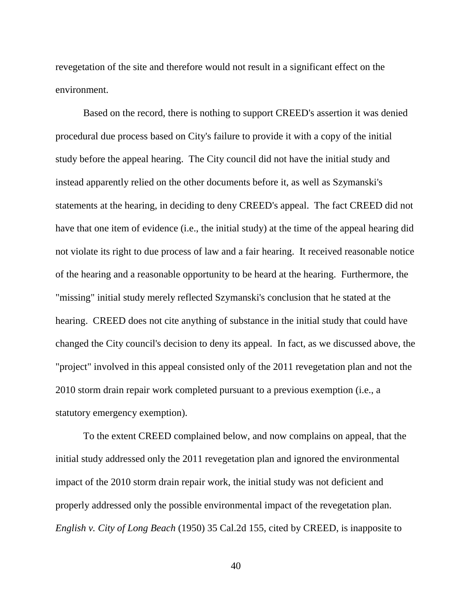revegetation of the site and therefore would not result in a significant effect on the environment.

Based on the record, there is nothing to support CREED's assertion it was denied procedural due process based on City's failure to provide it with a copy of the initial study before the appeal hearing. The City council did not have the initial study and instead apparently relied on the other documents before it, as well as Szymanski's statements at the hearing, in deciding to deny CREED's appeal. The fact CREED did not have that one item of evidence (i.e., the initial study) at the time of the appeal hearing did not violate its right to due process of law and a fair hearing. It received reasonable notice of the hearing and a reasonable opportunity to be heard at the hearing. Furthermore, the "missing" initial study merely reflected Szymanski's conclusion that he stated at the hearing. CREED does not cite anything of substance in the initial study that could have changed the City council's decision to deny its appeal. In fact, as we discussed above, the "project" involved in this appeal consisted only of the 2011 revegetation plan and not the 2010 storm drain repair work completed pursuant to a previous exemption (i.e., a statutory emergency exemption).

To the extent CREED complained below, and now complains on appeal, that the initial study addressed only the 2011 revegetation plan and ignored the environmental impact of the 2010 storm drain repair work, the initial study was not deficient and properly addressed only the possible environmental impact of the revegetation plan. *English v. City of Long Beach* (1950) 35 Cal.2d 155, cited by CREED, is inapposite to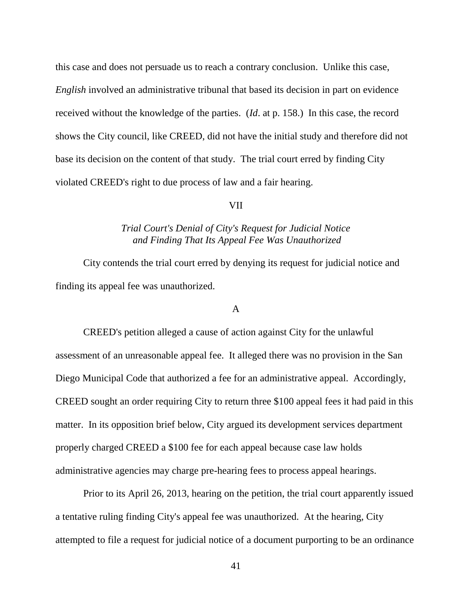this case and does not persuade us to reach a contrary conclusion. Unlike this case, *English* involved an administrative tribunal that based its decision in part on evidence received without the knowledge of the parties. (*Id*. at p. 158.) In this case, the record shows the City council, like CREED, did not have the initial study and therefore did not base its decision on the content of that study. The trial court erred by finding City violated CREED's right to due process of law and a fair hearing.

### VII

# *Trial Court's Denial of City's Request for Judicial Notice and Finding That Its Appeal Fee Was Unauthorized*

City contends the trial court erred by denying its request for judicial notice and finding its appeal fee was unauthorized.

#### A

CREED's petition alleged a cause of action against City for the unlawful assessment of an unreasonable appeal fee. It alleged there was no provision in the San Diego Municipal Code that authorized a fee for an administrative appeal. Accordingly, CREED sought an order requiring City to return three \$100 appeal fees it had paid in this matter. In its opposition brief below, City argued its development services department properly charged CREED a \$100 fee for each appeal because case law holds administrative agencies may charge pre-hearing fees to process appeal hearings.

Prior to its April 26, 2013, hearing on the petition, the trial court apparently issued a tentative ruling finding City's appeal fee was unauthorized. At the hearing, City attempted to file a request for judicial notice of a document purporting to be an ordinance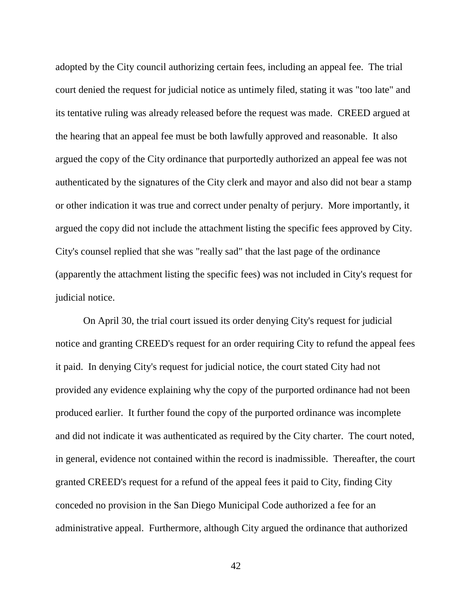adopted by the City council authorizing certain fees, including an appeal fee. The trial court denied the request for judicial notice as untimely filed, stating it was "too late" and its tentative ruling was already released before the request was made. CREED argued at the hearing that an appeal fee must be both lawfully approved and reasonable. It also argued the copy of the City ordinance that purportedly authorized an appeal fee was not authenticated by the signatures of the City clerk and mayor and also did not bear a stamp or other indication it was true and correct under penalty of perjury. More importantly, it argued the copy did not include the attachment listing the specific fees approved by City. City's counsel replied that she was "really sad" that the last page of the ordinance (apparently the attachment listing the specific fees) was not included in City's request for judicial notice.

On April 30, the trial court issued its order denying City's request for judicial notice and granting CREED's request for an order requiring City to refund the appeal fees it paid. In denying City's request for judicial notice, the court stated City had not provided any evidence explaining why the copy of the purported ordinance had not been produced earlier. It further found the copy of the purported ordinance was incomplete and did not indicate it was authenticated as required by the City charter. The court noted, in general, evidence not contained within the record is inadmissible. Thereafter, the court granted CREED's request for a refund of the appeal fees it paid to City, finding City conceded no provision in the San Diego Municipal Code authorized a fee for an administrative appeal. Furthermore, although City argued the ordinance that authorized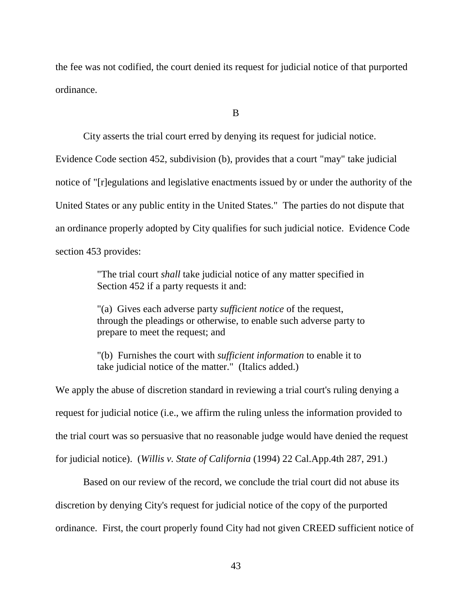the fee was not codified, the court denied its request for judicial notice of that purported ordinance.

B

City asserts the trial court erred by denying its request for judicial notice.

Evidence Code section 452, subdivision (b), provides that a court "may" take judicial notice of "[r]egulations and legislative enactments issued by or under the authority of the United States or any public entity in the United States." The parties do not dispute that an ordinance properly adopted by City qualifies for such judicial notice. Evidence Code section 453 provides:

> "The trial court *shall* take judicial notice of any matter specified in Section 452 if a party requests it and:

> "(a) Gives each adverse party *sufficient notice* of the request, through the pleadings or otherwise, to enable such adverse party to prepare to meet the request; and

"(b) Furnishes the court with *sufficient information* to enable it to take judicial notice of the matter." (Italics added.)

We apply the abuse of discretion standard in reviewing a trial court's ruling denying a request for judicial notice (i.e., we affirm the ruling unless the information provided to the trial court was so persuasive that no reasonable judge would have denied the request for judicial notice). (*Willis v. State of California* (1994) 22 Cal.App.4th 287, 291.)

Based on our review of the record, we conclude the trial court did not abuse its discretion by denying City's request for judicial notice of the copy of the purported ordinance. First, the court properly found City had not given CREED sufficient notice of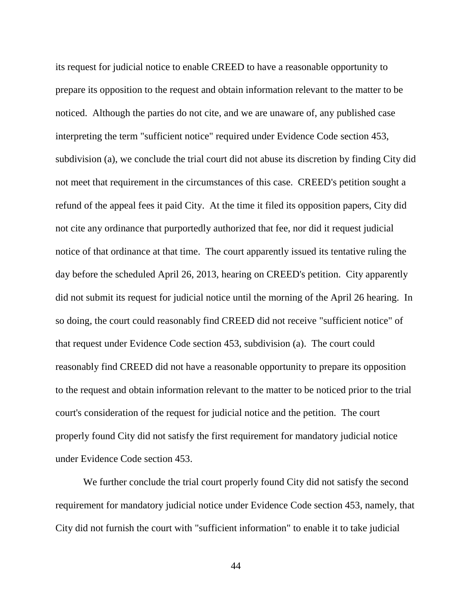its request for judicial notice to enable CREED to have a reasonable opportunity to prepare its opposition to the request and obtain information relevant to the matter to be noticed. Although the parties do not cite, and we are unaware of, any published case interpreting the term "sufficient notice" required under Evidence Code section 453, subdivision (a), we conclude the trial court did not abuse its discretion by finding City did not meet that requirement in the circumstances of this case. CREED's petition sought a refund of the appeal fees it paid City. At the time it filed its opposition papers, City did not cite any ordinance that purportedly authorized that fee, nor did it request judicial notice of that ordinance at that time. The court apparently issued its tentative ruling the day before the scheduled April 26, 2013, hearing on CREED's petition. City apparently did not submit its request for judicial notice until the morning of the April 26 hearing. In so doing, the court could reasonably find CREED did not receive "sufficient notice" of that request under Evidence Code section 453, subdivision (a). The court could reasonably find CREED did not have a reasonable opportunity to prepare its opposition to the request and obtain information relevant to the matter to be noticed prior to the trial court's consideration of the request for judicial notice and the petition. The court properly found City did not satisfy the first requirement for mandatory judicial notice under Evidence Code section 453.

We further conclude the trial court properly found City did not satisfy the second requirement for mandatory judicial notice under Evidence Code section 453, namely, that City did not furnish the court with "sufficient information" to enable it to take judicial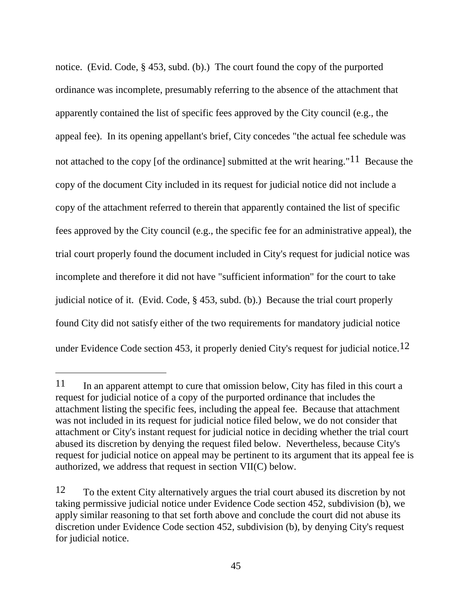notice. (Evid. Code, § 453, subd. (b).) The court found the copy of the purported ordinance was incomplete, presumably referring to the absence of the attachment that apparently contained the list of specific fees approved by the City council (e.g., the appeal fee). In its opening appellant's brief, City concedes "the actual fee schedule was not attached to the copy [of the ordinance] submitted at the writ hearing."<sup>11</sup> Because the copy of the document City included in its request for judicial notice did not include a copy of the attachment referred to therein that apparently contained the list of specific fees approved by the City council (e.g., the specific fee for an administrative appeal), the trial court properly found the document included in City's request for judicial notice was incomplete and therefore it did not have "sufficient information" for the court to take judicial notice of it. (Evid. Code, § 453, subd. (b).) Because the trial court properly found City did not satisfy either of the two requirements for mandatory judicial notice under Evidence Code section 453, it properly denied City's request for judicial notice.<sup>12</sup>

 $\overline{a}$ 

<sup>11</sup> In an apparent attempt to cure that omission below, City has filed in this court a request for judicial notice of a copy of the purported ordinance that includes the attachment listing the specific fees, including the appeal fee. Because that attachment was not included in its request for judicial notice filed below, we do not consider that attachment or City's instant request for judicial notice in deciding whether the trial court abused its discretion by denying the request filed below. Nevertheless, because City's request for judicial notice on appeal may be pertinent to its argument that its appeal fee is authorized, we address that request in section VII(C) below.

<sup>12</sup> To the extent City alternatively argues the trial court abused its discretion by not taking permissive judicial notice under Evidence Code section 452, subdivision (b), we apply similar reasoning to that set forth above and conclude the court did not abuse its discretion under Evidence Code section 452, subdivision (b), by denying City's request for judicial notice.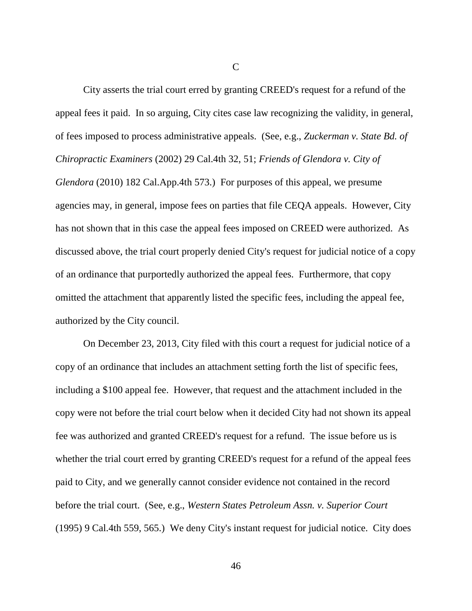C

City asserts the trial court erred by granting CREED's request for a refund of the appeal fees it paid. In so arguing, City cites case law recognizing the validity, in general, of fees imposed to process administrative appeals. (See, e.g., *Zuckerman v. State Bd. of Chiropractic Examiners* (2002) 29 Cal.4th 32, 51; *Friends of Glendora v. City of Glendora* (2010) 182 Cal.App.4th 573.) For purposes of this appeal, we presume agencies may, in general, impose fees on parties that file CEQA appeals. However, City has not shown that in this case the appeal fees imposed on CREED were authorized. As discussed above, the trial court properly denied City's request for judicial notice of a copy of an ordinance that purportedly authorized the appeal fees. Furthermore, that copy omitted the attachment that apparently listed the specific fees, including the appeal fee, authorized by the City council.

On December 23, 2013, City filed with this court a request for judicial notice of a copy of an ordinance that includes an attachment setting forth the list of specific fees, including a \$100 appeal fee. However, that request and the attachment included in the copy were not before the trial court below when it decided City had not shown its appeal fee was authorized and granted CREED's request for a refund. The issue before us is whether the trial court erred by granting CREED's request for a refund of the appeal fees paid to City, and we generally cannot consider evidence not contained in the record before the trial court. (See, e.g., *Western States Petroleum Assn. v. Superior Court* (1995) 9 Cal.4th 559, 565.) We deny City's instant request for judicial notice. City does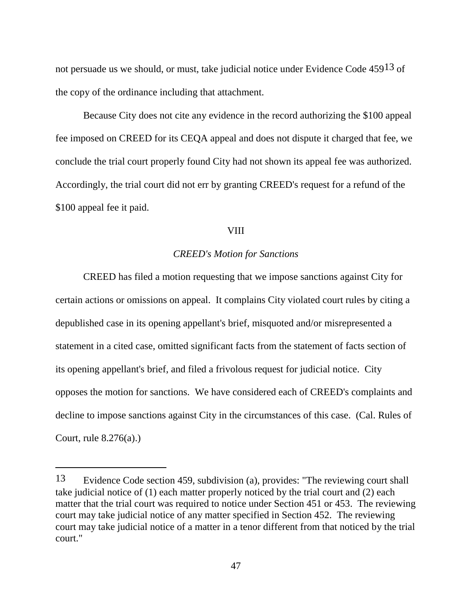not persuade us we should, or must, take judicial notice under Evidence Code 45913 of the copy of the ordinance including that attachment.

Because City does not cite any evidence in the record authorizing the \$100 appeal fee imposed on CREED for its CEQA appeal and does not dispute it charged that fee, we conclude the trial court properly found City had not shown its appeal fee was authorized. Accordingly, the trial court did not err by granting CREED's request for a refund of the \$100 appeal fee it paid.

### **VIII**

## *CREED's Motion for Sanctions*

CREED has filed a motion requesting that we impose sanctions against City for certain actions or omissions on appeal. It complains City violated court rules by citing a depublished case in its opening appellant's brief, misquoted and/or misrepresented a statement in a cited case, omitted significant facts from the statement of facts section of its opening appellant's brief, and filed a frivolous request for judicial notice. City opposes the motion for sanctions. We have considered each of CREED's complaints and decline to impose sanctions against City in the circumstances of this case. (Cal. Rules of Court, rule 8.276(a).)

<sup>13</sup> Evidence Code section 459, subdivision (a), provides: "The reviewing court shall take judicial notice of (1) each matter properly noticed by the trial court and (2) each matter that the trial court was required to notice under Section 451 or 453. The reviewing court may take judicial notice of any matter specified in Section 452. The reviewing court may take judicial notice of a matter in a tenor different from that noticed by the trial court."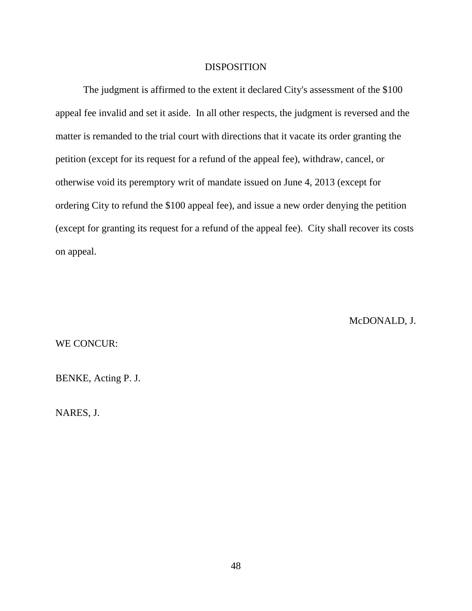## DISPOSITION

The judgment is affirmed to the extent it declared City's assessment of the \$100 appeal fee invalid and set it aside. In all other respects, the judgment is reversed and the matter is remanded to the trial court with directions that it vacate its order granting the petition (except for its request for a refund of the appeal fee), withdraw, cancel, or otherwise void its peremptory writ of mandate issued on June 4, 2013 (except for ordering City to refund the \$100 appeal fee), and issue a new order denying the petition (except for granting its request for a refund of the appeal fee). City shall recover its costs on appeal.

McDONALD, J.

WE CONCUR:

BENKE, Acting P. J.

NARES, J.